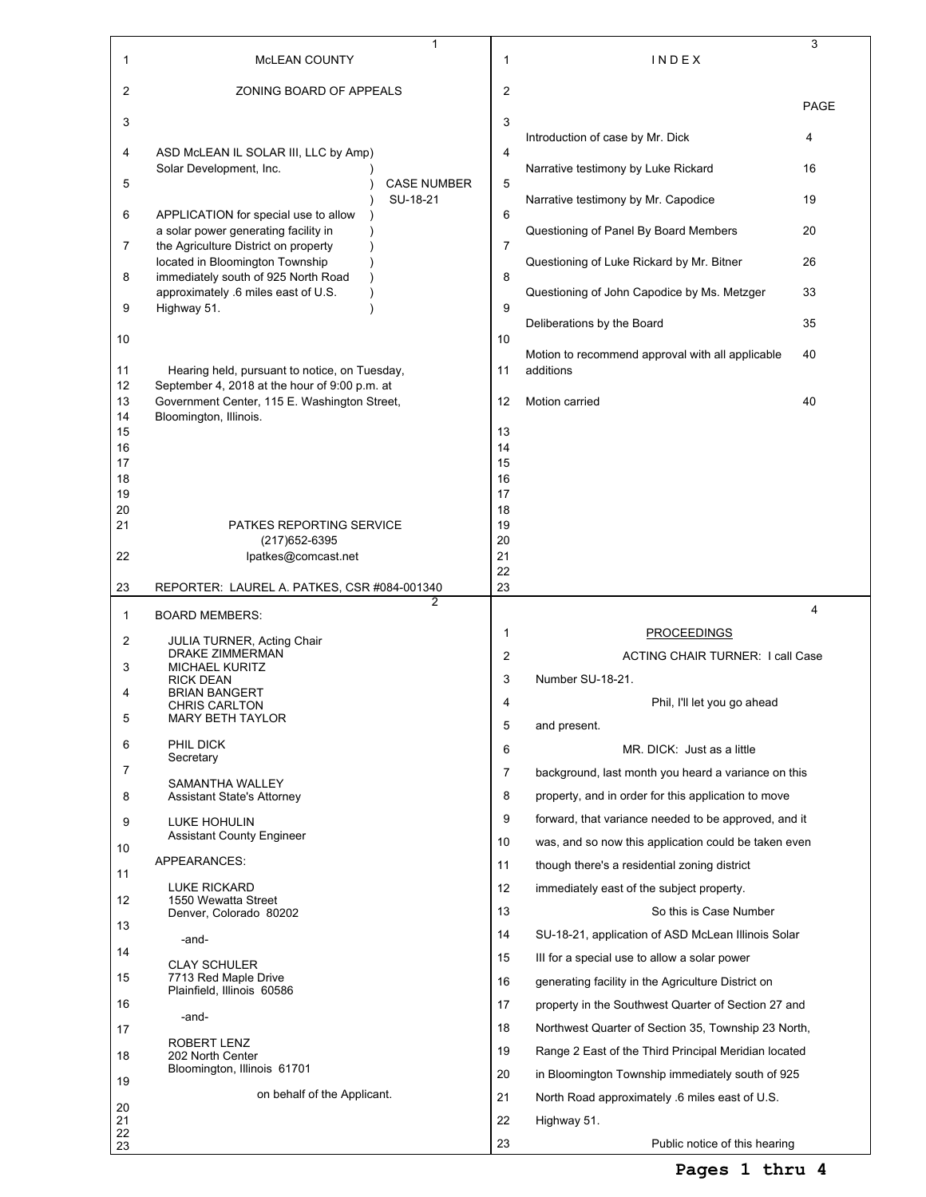| 1              | MCLEAN COUNTY                                                                                  | $\mathbf{1}$                   | 1        | INDEX                                                | 3           |
|----------------|------------------------------------------------------------------------------------------------|--------------------------------|----------|------------------------------------------------------|-------------|
| 2              | ZONING BOARD OF APPEALS                                                                        |                                | 2        |                                                      |             |
| 3              |                                                                                                |                                | 3        |                                                      | <b>PAGE</b> |
|                |                                                                                                |                                |          | Introduction of case by Mr. Dick                     | 4           |
| 4              | ASD McLEAN IL SOLAR III, LLC by Amp)<br>Solar Development, Inc.                                |                                | 4        | Narrative testimony by Luke Rickard                  | 16          |
| 5              |                                                                                                | <b>CASE NUMBER</b><br>SU-18-21 | 5        | Narrative testimony by Mr. Capodice                  | 19          |
| 6              | APPLICATION for special use to allow                                                           |                                | 6        |                                                      |             |
| 7              | a solar power generating facility in<br>the Agriculture District on property                   |                                | 7        | Questioning of Panel By Board Members                | 20          |
| 8              | located in Bloomington Township<br>immediately south of 925 North Road                         |                                | 8        | Questioning of Luke Rickard by Mr. Bitner            | 26          |
| 9              | approximately .6 miles east of U.S.<br>Highway 51.                                             |                                | 9        | Questioning of John Capodice by Ms. Metzger          | 33          |
|                |                                                                                                |                                |          | Deliberations by the Board                           | 35          |
| 10             |                                                                                                |                                | 10       | Motion to recommend approval with all applicable     | 40          |
| 11<br>12       | Hearing held, pursuant to notice, on Tuesday,<br>September 4, 2018 at the hour of 9:00 p.m. at |                                | 11       | additions                                            |             |
| 13             | Government Center, 115 E. Washington Street,                                                   |                                | 12       | Motion carried                                       | 40          |
| 14<br>15       | Bloomington, Illinois.                                                                         |                                | 13       |                                                      |             |
| 16<br>17       |                                                                                                |                                | 14<br>15 |                                                      |             |
| 18             |                                                                                                |                                | 16       |                                                      |             |
| 19<br>20       |                                                                                                |                                | 17<br>18 |                                                      |             |
| 21             | PATKES REPORTING SERVICE                                                                       |                                | 19       |                                                      |             |
| 22             | (217) 652-6395<br>lpatkes@comcast.net                                                          |                                | 20<br>21 |                                                      |             |
|                |                                                                                                |                                | 22       |                                                      |             |
| 23             | REPORTER: LAUREL A. PATKES, CSR #084-001340                                                    | 2                              | 23       |                                                      | 4           |
| 1              | <b>BOARD MEMBERS:</b>                                                                          |                                | 1        | <b>PROCEEDINGS</b>                                   |             |
| 2              | <b>JULIA TURNER, Acting Chair</b><br><b>DRAKE ZIMMERMAN</b>                                    |                                | 2        | <b>ACTING CHAIR TURNER: I call Case</b>              |             |
| 3              | <b>MICHAEL KURITZ</b><br><b>RICK DEAN</b>                                                      |                                | 3        | Number SU-18-21.                                     |             |
| 4              | <b>BRIAN BANGERT</b>                                                                           |                                |          |                                                      |             |
|                |                                                                                                |                                | 4        |                                                      |             |
| 5              | <b>CHRIS CARLTON</b><br>MARY BETH TAYLOR                                                       |                                | 5        | Phil, I'll let you go ahead<br>and present.          |             |
| 6              | PHIL DICK                                                                                      |                                | 6        | MR. DICK: Just as a little                           |             |
| 7              | Secretary                                                                                      |                                | 7        | background, last month you heard a variance on this  |             |
| 8              | SAMANTHA WALLEY<br><b>Assistant State's Attorney</b>                                           |                                | 8        | property, and in order for this application to move  |             |
| 9              | LUKE HOHULIN                                                                                   |                                | 9        | forward, that variance needed to be approved, and it |             |
|                | <b>Assistant County Engineer</b>                                                               |                                | 10       | was, and so now this application could be taken even |             |
| 10             | APPEARANCES:                                                                                   |                                | 11       | though there's a residential zoning district         |             |
| 11             | <b>LUKE RICKARD</b>                                                                            |                                | 12       | immediately east of the subject property.            |             |
| 12             | 1550 Wewatta Street<br>Denver, Colorado 80202                                                  |                                | 13       | So this is Case Number                               |             |
| 13             |                                                                                                |                                | 14       | SU-18-21, application of ASD McLean Illinois Solar   |             |
| 14             | -and-                                                                                          |                                | 15       | III for a special use to allow a solar power         |             |
| 15             | <b>CLAY SCHULER</b><br>7713 Red Maple Drive                                                    |                                | 16       | generating facility in the Agriculture District on   |             |
| 16             | Plainfield, Illinois 60586                                                                     |                                | 17       | property in the Southwest Quarter of Section 27 and  |             |
| 17             | -and-                                                                                          |                                | 18       | Northwest Quarter of Section 35, Township 23 North,  |             |
|                | ROBERT LENZ                                                                                    |                                | 19       | Range 2 East of the Third Principal Meridian located |             |
| 18             | 202 North Center<br>Bloomington, Illinois 61701                                                |                                | 20       | in Bloomington Township immediately south of 925     |             |
| 19             | on behalf of the Applicant.                                                                    |                                | 21       | North Road approximately 6 miles east of U.S.        |             |
| 20<br>21<br>22 |                                                                                                |                                | 22       | Highway 51.                                          |             |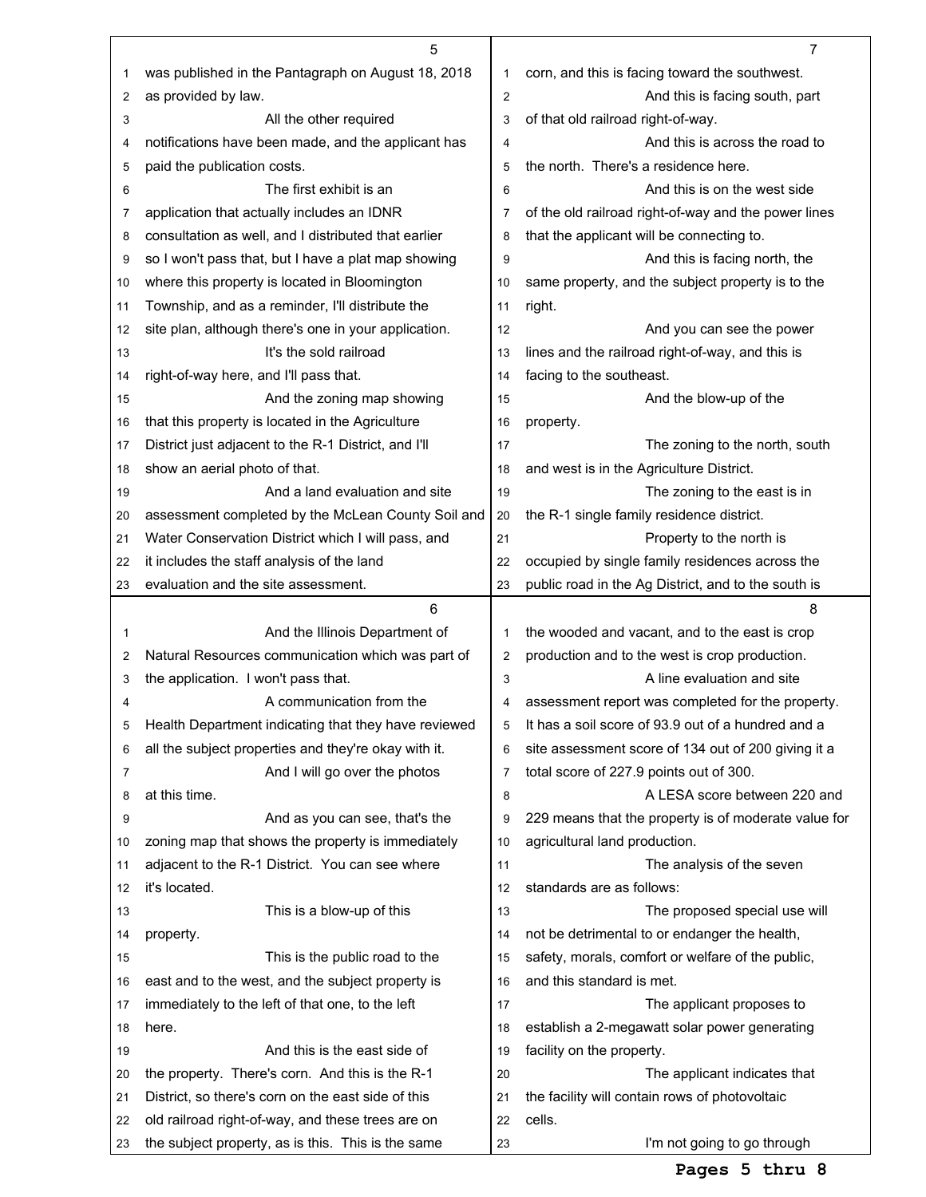|    | 5                                                    |                         | $\overline{7}$                                       |
|----|------------------------------------------------------|-------------------------|------------------------------------------------------|
| 1  | was published in the Pantagraph on August 18, 2018   | 1                       | corn, and this is facing toward the southwest.       |
| 2  | as provided by law.                                  | $\overline{\mathbf{c}}$ | And this is facing south, part                       |
| 3  | All the other required                               | 3                       | of that old railroad right-of-way.                   |
| 4  | notifications have been made, and the applicant has  | 4                       | And this is across the road to                       |
| 5  | paid the publication costs.                          | 5                       | the north. There's a residence here.                 |
| 6  | The first exhibit is an                              | 6                       | And this is on the west side                         |
| 7  | application that actually includes an IDNR           | 7                       | of the old railroad right-of-way and the power lines |
| 8  | consultation as well, and I distributed that earlier | 8                       | that the applicant will be connecting to.            |
| 9  | so I won't pass that, but I have a plat map showing  | 9                       | And this is facing north, the                        |
| 10 | where this property is located in Bloomington        | 10                      | same property, and the subject property is to the    |
| 11 | Township, and as a reminder, I'll distribute the     | 11                      | right.                                               |
| 12 | site plan, although there's one in your application. | 12                      | And you can see the power                            |
| 13 | It's the sold railroad                               | 13                      | lines and the railroad right-of-way, and this is     |
| 14 | right-of-way here, and I'll pass that.               | 14                      | facing to the southeast.                             |
| 15 | And the zoning map showing                           | 15                      | And the blow-up of the                               |
| 16 | that this property is located in the Agriculture     | 16                      | property.                                            |
| 17 | District just adjacent to the R-1 District, and I'll | 17                      | The zoning to the north, south                       |
| 18 | show an aerial photo of that.                        | 18                      | and west is in the Agriculture District.             |
| 19 | And a land evaluation and site                       | 19                      | The zoning to the east is in                         |
| 20 | assessment completed by the McLean County Soil and   | 20                      | the R-1 single family residence district.            |
| 21 | Water Conservation District which I will pass, and   | 21                      | Property to the north is                             |
| 22 | it includes the staff analysis of the land           | 22                      | occupied by single family residences across the      |
| 23 | evaluation and the site assessment.                  | 23                      | public road in the Ag District, and to the south is  |
|    | 6                                                    |                         | 8                                                    |
| 1  | And the Illinois Department of                       | 1                       | the wooded and vacant, and to the east is crop       |
| 2  | Natural Resources communication which was part of    | 2                       | production and to the west is crop production.       |
| 3  | the application. I won't pass that.                  | 3                       | A line evaluation and site                           |
| 4  | A communication from the                             | 4                       | assessment report was completed for the property.    |
| 5  | Health Department indicating that they have reviewed | 5                       | It has a soil score of 93.9 out of a hundred and a   |
| 6  | all the subject properties and they're okay with it. | 6                       | site assessment score of 134 out of 200 giving it a  |
| 7  | And I will go over the photos                        | 7                       | total score of 227.9 points out of 300.              |
| 8  | at this time.                                        | 8                       | A LESA score between 220 and                         |
| 9  | And as you can see, that's the                       | 9                       | 229 means that the property is of moderate value for |
| 10 | zoning map that shows the property is immediately    | 10                      | agricultural land production.                        |
| 11 | adjacent to the R-1 District. You can see where      | 11                      | The analysis of the seven                            |
| 12 | it's located.                                        | 12                      | standards are as follows:                            |
| 13 | This is a blow-up of this                            | 13                      | The proposed special use will                        |
| 14 | property.                                            | 14                      | not be detrimental to or endanger the health,        |
| 15 | This is the public road to the                       | 15                      | safety, morals, comfort or welfare of the public,    |
| 16 | east and to the west, and the subject property is    | 16                      | and this standard is met.                            |
| 17 | immediately to the left of that one, to the left     | 17                      | The applicant proposes to                            |
| 18 | here.                                                | 18                      | establish a 2-megawatt solar power generating        |
| 19 | And this is the east side of                         | 19                      | facility on the property.                            |
| 20 | the property. There's corn. And this is the R-1      | 20                      | The applicant indicates that                         |
| 21 | District, so there's corn on the east side of this   | 21                      | the facility will contain rows of photovoltaic       |
| 22 |                                                      |                         | cells.                                               |
|    | old railroad right-of-way, and these trees are on    | 22                      |                                                      |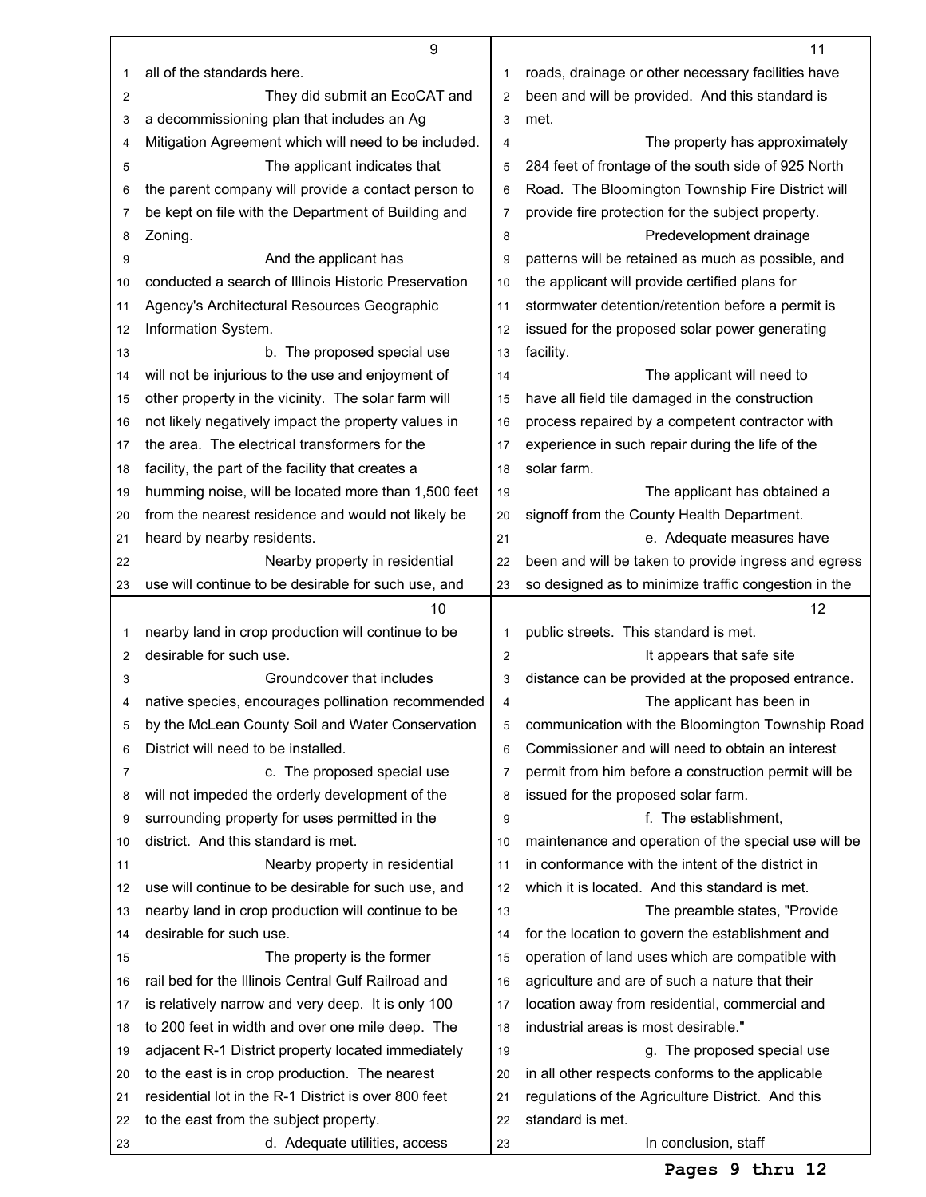|                | 9                                                    |                | 11                                                   |
|----------------|------------------------------------------------------|----------------|------------------------------------------------------|
| 1              | all of the standards here.                           | 1              | roads, drainage or other necessary facilities have   |
| $\overline{2}$ | They did submit an EcoCAT and                        | $\overline{2}$ | been and will be provided. And this standard is      |
| 3              | a decommissioning plan that includes an Ag           | 3              | met.                                                 |
| 4              | Mitigation Agreement which will need to be included. | 4              | The property has approximately                       |
| 5              | The applicant indicates that                         | 5              | 284 feet of frontage of the south side of 925 North  |
| 6              | the parent company will provide a contact person to  | 6              | Road. The Bloomington Township Fire District will    |
| 7              | be kept on file with the Department of Building and  | $\overline{7}$ | provide fire protection for the subject property.    |
| 8              | Zoning.                                              | 8              | Predevelopment drainage                              |
| 9              | And the applicant has                                | 9              | patterns will be retained as much as possible, and   |
| 10             | conducted a search of Illinois Historic Preservation | 10             | the applicant will provide certified plans for       |
| 11             | Agency's Architectural Resources Geographic          | 11             | stormwater detention/retention before a permit is    |
| 12             | Information System.                                  | 12             | issued for the proposed solar power generating       |
| 13             | b. The proposed special use                          | 13             | facility.                                            |
| 14             | will not be injurious to the use and enjoyment of    | 14             | The applicant will need to                           |
| 15             | other property in the vicinity. The solar farm will  | 15             | have all field tile damaged in the construction      |
| 16             | not likely negatively impact the property values in  | 16             | process repaired by a competent contractor with      |
| 17             | the area. The electrical transformers for the        | 17             | experience in such repair during the life of the     |
| 18             | facility, the part of the facility that creates a    | 18             | solar farm.                                          |
| 19             | humming noise, will be located more than 1,500 feet  | 19             | The applicant has obtained a                         |
| 20             | from the nearest residence and would not likely be   | 20             | signoff from the County Health Department.           |
| 21             | heard by nearby residents.                           | 21             | e. Adequate measures have                            |
| 22             | Nearby property in residential                       | 22             | been and will be taken to provide ingress and egress |
| 23             | use will continue to be desirable for such use, and  | 23             | so designed as to minimize traffic congestion in the |
|                |                                                      |                |                                                      |
|                | 10                                                   |                | 12                                                   |
| 1              | nearby land in crop production will continue to be   | 1              | public streets. This standard is met.                |
| 2              | desirable for such use.                              | $\overline{2}$ | It appears that safe site                            |
| 3              | Groundcover that includes                            | 3              | distance can be provided at the proposed entrance.   |
| 4              | native species, encourages pollination recommended   | 4              | The applicant has been in                            |
| 5              | by the McLean County Soil and Water Conservation     | 5              | communication with the Bloomington Township Road     |
| 6              | District will need to be installed.                  | 6              | Commissioner and will need to obtain an interest     |
| 7              | c. The proposed special use                          | 7              | permit from him before a construction permit will be |
| 8              | will not impeded the orderly development of the      | 8              | issued for the proposed solar farm.                  |
| 9              | surrounding property for uses permitted in the       | 9              | f. The establishment,                                |
| 10             | district. And this standard is met.                  | 10             | maintenance and operation of the special use will be |
| 11             | Nearby property in residential                       | 11             | in conformance with the intent of the district in    |
| 12             | use will continue to be desirable for such use, and  | 12             | which it is located. And this standard is met.       |
| 13             | nearby land in crop production will continue to be   | 13             | The preamble states, "Provide                        |
| 14             | desirable for such use.                              | 14             | for the location to govern the establishment and     |
| 15             | The property is the former                           | 15             | operation of land uses which are compatible with     |
| 16             | rail bed for the Illinois Central Gulf Railroad and  | 16             | agriculture and are of such a nature that their      |
| 17             | is relatively narrow and very deep. It is only 100   | 17             | location away from residential, commercial and       |
| 18             | to 200 feet in width and over one mile deep. The     | 18             | industrial areas is most desirable."                 |
| 19             | adjacent R-1 District property located immediately   | 19             | g. The proposed special use                          |
| 20             | to the east is in crop production. The nearest       | 20             | in all other respects conforms to the applicable     |
| 21             | residential lot in the R-1 District is over 800 feet | 21             | regulations of the Agriculture District. And this    |
| 22             | to the east from the subject property.               | 22             | standard is met.                                     |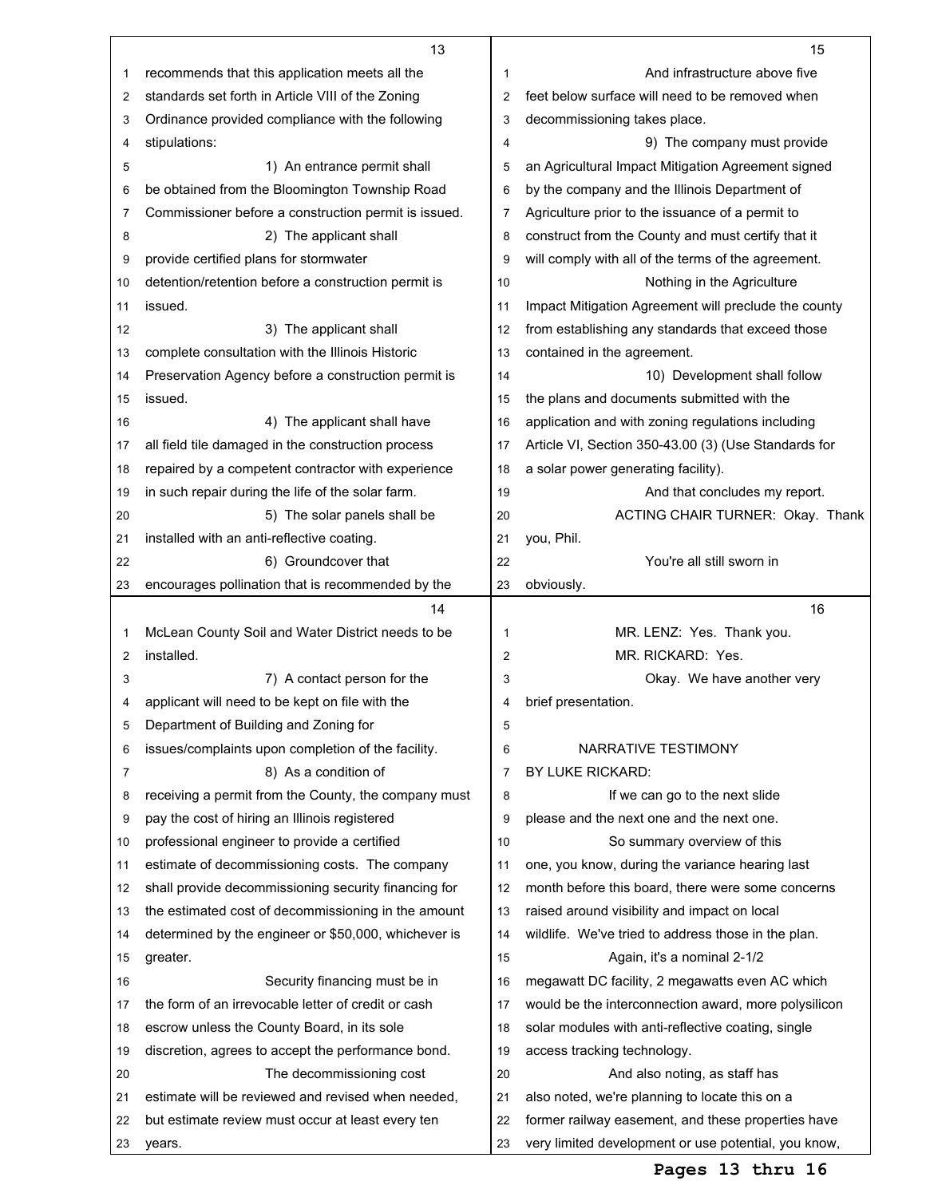|    | 13                                                   |                | 15                                                   |
|----|------------------------------------------------------|----------------|------------------------------------------------------|
| 1  | recommends that this application meets all the       | 1              | And infrastructure above five                        |
| 2  | standards set forth in Article VIII of the Zoning    | 2              | feet below surface will need to be removed when      |
| 3  | Ordinance provided compliance with the following     | 3              | decommissioning takes place.                         |
| 4  | stipulations:                                        | 4              | 9) The company must provide                          |
| 5  | 1) An entrance permit shall                          | 5              | an Agricultural Impact Mitigation Agreement signed   |
| 6  | be obtained from the Bloomington Township Road       | 6              | by the company and the Illinois Department of        |
| 7  | Commissioner before a construction permit is issued. | 7              | Agriculture prior to the issuance of a permit to     |
| 8  | 2) The applicant shall                               | 8              | construct from the County and must certify that it   |
| 9  | provide certified plans for stormwater               | 9              | will comply with all of the terms of the agreement.  |
| 10 | detention/retention before a construction permit is  | 10             | Nothing in the Agriculture                           |
| 11 | issued.                                              | 11             | Impact Mitigation Agreement will preclude the county |
| 12 | 3) The applicant shall                               | 12             | from establishing any standards that exceed those    |
| 13 | complete consultation with the Illinois Historic     | 13             | contained in the agreement.                          |
| 14 | Preservation Agency before a construction permit is  | 14             | 10) Development shall follow                         |
| 15 | issued.                                              | 15             | the plans and documents submitted with the           |
| 16 | 4) The applicant shall have                          | 16             | application and with zoning regulations including    |
| 17 | all field tile damaged in the construction process   | 17             | Article VI, Section 350-43.00 (3) (Use Standards for |
| 18 | repaired by a competent contractor with experience   | 18             | a solar power generating facility).                  |
| 19 | in such repair during the life of the solar farm.    | 19             | And that concludes my report.                        |
| 20 | 5) The solar panels shall be                         | 20             | ACTING CHAIR TURNER: Okay. Thank                     |
| 21 | installed with an anti-reflective coating.           | 21             | you, Phil.                                           |
| 22 | 6) Groundcover that                                  | 22             | You're all still sworn in                            |
| 23 | encourages pollination that is recommended by the    | 23             | obviously.                                           |
|    | 14                                                   |                | 16                                                   |
|    |                                                      |                |                                                      |
| 1  | McLean County Soil and Water District needs to be    | 1              | MR. LENZ: Yes. Thank you.                            |
| 2  | installed.                                           | $\overline{2}$ | MR. RICKARD: Yes.                                    |
| 3  | 7) A contact person for the                          | 3              | Okay. We have another very                           |
| 4  | applicant will need to be kept on file with the      | 4              | brief presentation.                                  |
| 5  | Department of Building and Zoning for                | 5              |                                                      |
| 6  | issues/complaints upon completion of the facility.   | 6              | NARRATIVE TESTIMONY                                  |
| 7  | 8) As a condition of                                 | $\overline{7}$ | BY LUKE RICKARD:                                     |
| 8  | receiving a permit from the County, the company must | 8              | If we can go to the next slide                       |
| 9  | pay the cost of hiring an Illinois registered        | 9              | please and the next one and the next one.            |
| 10 | professional engineer to provide a certified         | 10             | So summary overview of this                          |
| 11 | estimate of decommissioning costs. The company       | 11             | one, you know, during the variance hearing last      |
| 12 | shall provide decommissioning security financing for | 12             | month before this board, there were some concerns    |
| 13 | the estimated cost of decommissioning in the amount  | 13             | raised around visibility and impact on local         |
| 14 | determined by the engineer or \$50,000, whichever is | 14             | wildlife. We've tried to address those in the plan.  |
| 15 | greater.                                             | 15             | Again, it's a nominal 2-1/2                          |
| 16 | Security financing must be in                        | 16             | megawatt DC facility, 2 megawatts even AC which      |
| 17 | the form of an irrevocable letter of credit or cash  | 17             | would be the interconnection award, more polysilicon |
| 18 | escrow unless the County Board, in its sole          | 18             | solar modules with anti-reflective coating, single   |
| 19 | discretion, agrees to accept the performance bond.   | 19             | access tracking technology.                          |
| 20 | The decommissioning cost                             | 20             | And also noting, as staff has                        |
| 21 | estimate will be reviewed and revised when needed,   | 21             | also noted, we're planning to locate this on a       |
| 22 | but estimate review must occur at least every ten    | 22             | former railway easement, and these properties have   |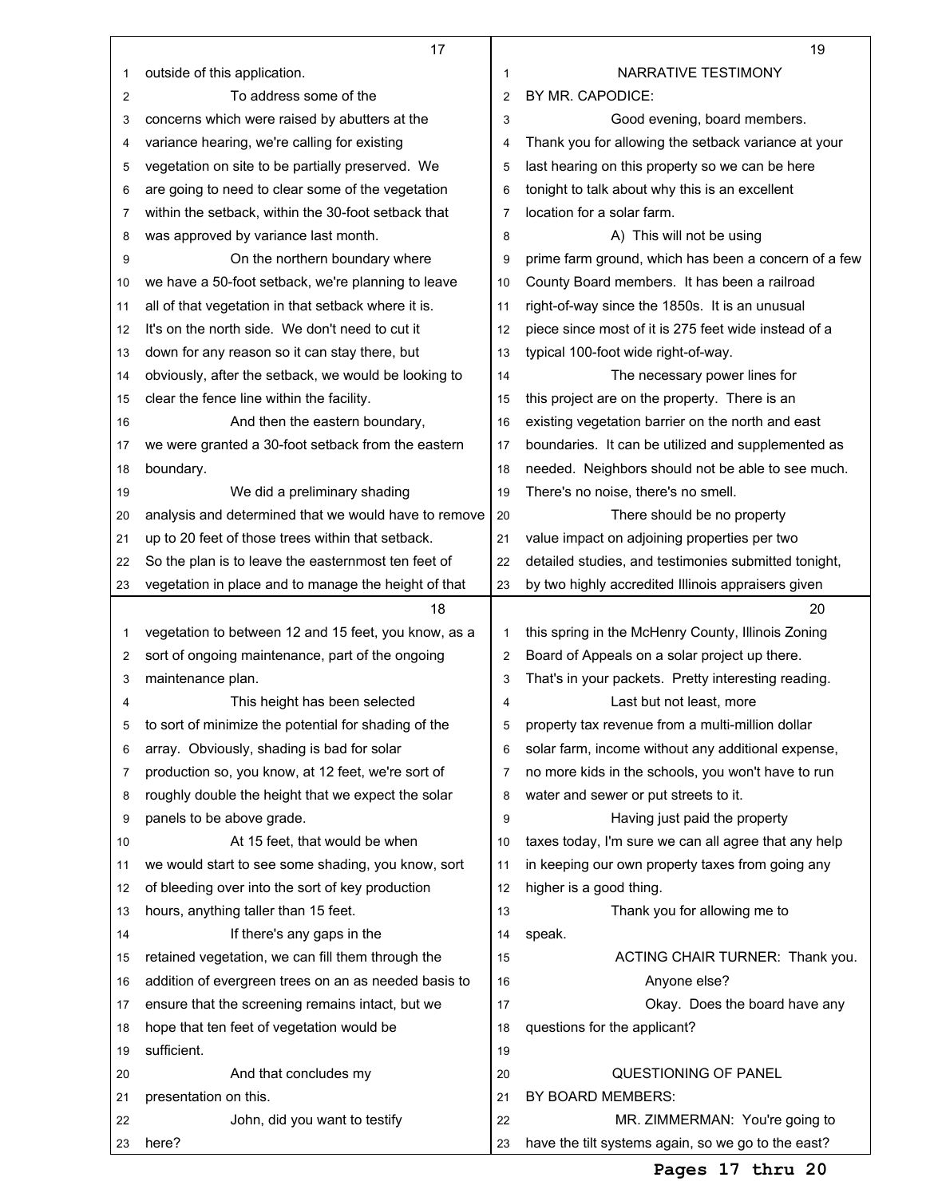|          | 17                                                                                                       |                | 19                                                                                   |
|----------|----------------------------------------------------------------------------------------------------------|----------------|--------------------------------------------------------------------------------------|
| 1        | outside of this application.                                                                             | 1              | NARRATIVE TESTIMONY                                                                  |
| 2        | To address some of the                                                                                   | $\overline{2}$ | BY MR. CAPODICE:                                                                     |
| 3        | concerns which were raised by abutters at the                                                            | 3              | Good evening, board members.                                                         |
| 4        | variance hearing, we're calling for existing                                                             | 4              | Thank you for allowing the setback variance at your                                  |
| 5        | vegetation on site to be partially preserved. We                                                         | 5              | last hearing on this property so we can be here                                      |
| 6        | are going to need to clear some of the vegetation                                                        | 6              | tonight to talk about why this is an excellent                                       |
| 7        | within the setback, within the 30-foot setback that                                                      | 7              | location for a solar farm.                                                           |
| 8        | was approved by variance last month.                                                                     | 8              | A) This will not be using                                                            |
| 9        | On the northern boundary where                                                                           | 9              | prime farm ground, which has been a concern of a few                                 |
| 10       | we have a 50-foot setback, we're planning to leave                                                       | 10             | County Board members. It has been a railroad                                         |
| 11       | all of that vegetation in that setback where it is.                                                      | 11             | right-of-way since the 1850s. It is an unusual                                       |
|          | It's on the north side. We don't need to cut it                                                          |                |                                                                                      |
| 12       |                                                                                                          | 12             | piece since most of it is 275 feet wide instead of a                                 |
| 13       | down for any reason so it can stay there, but                                                            | 13             | typical 100-foot wide right-of-way.                                                  |
| 14       | obviously, after the setback, we would be looking to                                                     | 14             | The necessary power lines for                                                        |
| 15       | clear the fence line within the facility.                                                                | 15             | this project are on the property. There is an                                        |
| 16       | And then the eastern boundary,                                                                           | 16             | existing vegetation barrier on the north and east                                    |
| 17       | we were granted a 30-foot setback from the eastern                                                       | 17             | boundaries. It can be utilized and supplemented as                                   |
| 18       | boundary.                                                                                                | 18             | needed. Neighbors should not be able to see much.                                    |
| 19       | We did a preliminary shading                                                                             | 19             | There's no noise, there's no smell.                                                  |
| 20       | analysis and determined that we would have to remove                                                     | 20             | There should be no property                                                          |
| 21       | up to 20 feet of those trees within that setback.                                                        | 21             | value impact on adjoining properties per two                                         |
| 22       | So the plan is to leave the easternmost ten feet of                                                      | 22             | detailed studies, and testimonies submitted tonight,                                 |
| 23       | vegetation in place and to manage the height of that                                                     | 23             | by two highly accredited Illinois appraisers given                                   |
|          |                                                                                                          |                |                                                                                      |
|          | 18                                                                                                       |                | 20                                                                                   |
| 1        | vegetation to between 12 and 15 feet, you know, as a                                                     | 1              | this spring in the McHenry County, Illinois Zoning                                   |
| 2        | sort of ongoing maintenance, part of the ongoing                                                         | 2              | Board of Appeals on a solar project up there.                                        |
| 3        | maintenance plan.                                                                                        | 3              | That's in your packets. Pretty interesting reading.                                  |
| 4        | This height has been selected                                                                            | 4              | Last but not least, more                                                             |
| 5        | to sort of minimize the potential for shading of the                                                     | 5              | property tax revenue from a multi-million dollar                                     |
| 6        | array. Obviously, shading is bad for solar                                                               | 6              | solar farm, income without any additional expense,                                   |
| 7        | production so, you know, at 12 feet, we're sort of                                                       | 7              | no more kids in the schools, you won't have to run                                   |
| 8        | roughly double the height that we expect the solar                                                       | 8              | water and sewer or put streets to it.                                                |
| 9        | panels to be above grade.                                                                                | 9              | Having just paid the property                                                        |
| 10       | At 15 feet, that would be when                                                                           | 10             | taxes today, I'm sure we can all agree that any help                                 |
| 11       | we would start to see some shading, you know, sort                                                       | 11             | in keeping our own property taxes from going any                                     |
| 12       | of bleeding over into the sort of key production                                                         | 12             | higher is a good thing.                                                              |
| 13       | hours, anything taller than 15 feet.                                                                     | 13             | Thank you for allowing me to                                                         |
| 14       | If there's any gaps in the                                                                               | 14             | speak.                                                                               |
| 15       | retained vegetation, we can fill them through the                                                        | 15             | ACTING CHAIR TURNER: Thank you.                                                      |
| 16       |                                                                                                          | 16             |                                                                                      |
| 17       | addition of evergreen trees on an as needed basis to<br>ensure that the screening remains intact, but we | 17             | Anyone else?<br>Okay. Does the board have any                                        |
| 18       |                                                                                                          | 18             |                                                                                      |
|          | hope that ten feet of vegetation would be                                                                | 19             | questions for the applicant?                                                         |
| 19       | sufficient.                                                                                              |                |                                                                                      |
| 20       | And that concludes my                                                                                    | 20             | QUESTIONING OF PANEL                                                                 |
| 21       | presentation on this.                                                                                    | 21             | BY BOARD MEMBERS:                                                                    |
| 22<br>23 | John, did you want to testify<br>here?                                                                   | 22<br>23       | MR. ZIMMERMAN: You're going to<br>have the tilt systems again, so we go to the east? |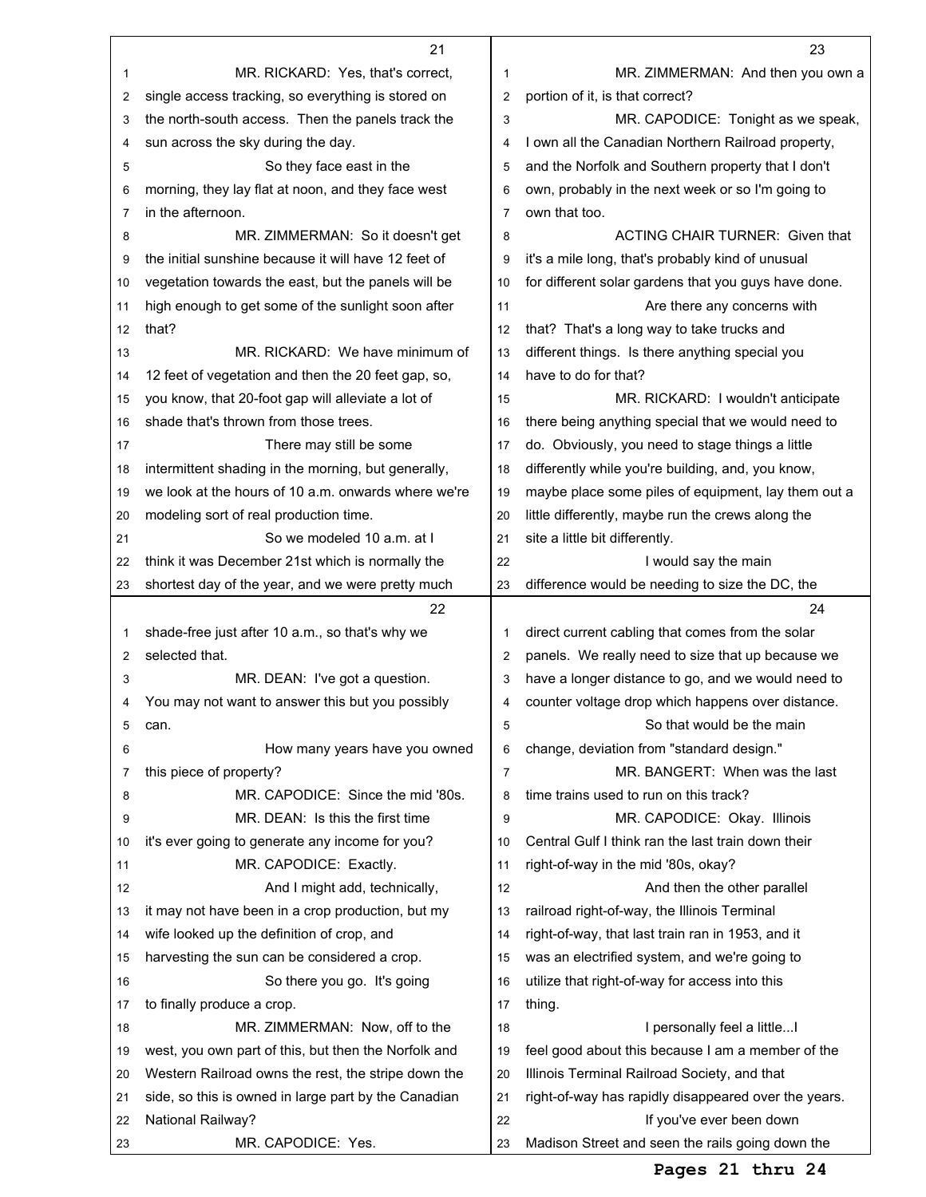|    | 21                                                   |                | 23                                                   |
|----|------------------------------------------------------|----------------|------------------------------------------------------|
| 1  | MR. RICKARD: Yes, that's correct,                    | 1              | MR. ZIMMERMAN: And then you own a                    |
| 2  | single access tracking, so everything is stored on   | 2              | portion of it, is that correct?                      |
| 3  | the north-south access. Then the panels track the    | 3              | MR. CAPODICE: Tonight as we speak,                   |
| 4  | sun across the sky during the day.                   | 4              | I own all the Canadian Northern Railroad property,   |
| 5  | So they face east in the                             | 5              | and the Norfolk and Southern property that I don't   |
| 6  | morning, they lay flat at noon, and they face west   | 6              | own, probably in the next week or so I'm going to    |
| 7  | in the afternoon.                                    | $\overline{7}$ | own that too.                                        |
| 8  | MR. ZIMMERMAN: So it doesn't get                     | 8              | <b>ACTING CHAIR TURNER: Given that</b>               |
| 9  | the initial sunshine because it will have 12 feet of | 9              | it's a mile long, that's probably kind of unusual    |
| 10 | vegetation towards the east, but the panels will be  | 10             | for different solar gardens that you guys have done. |
| 11 | high enough to get some of the sunlight soon after   | 11             | Are there any concerns with                          |
| 12 | that?                                                | 12             | that? That's a long way to take trucks and           |
| 13 | MR. RICKARD: We have minimum of                      | 13             | different things. Is there anything special you      |
| 14 | 12 feet of vegetation and then the 20 feet gap, so,  | 14             | have to do for that?                                 |
| 15 | you know, that 20-foot gap will alleviate a lot of   | 15             | MR. RICKARD: I wouldn't anticipate                   |
| 16 | shade that's thrown from those trees.                | 16             | there being anything special that we would need to   |
| 17 | There may still be some                              | 17             | do. Obviously, you need to stage things a little     |
| 18 | intermittent shading in the morning, but generally,  | 18             | differently while you're building, and, you know,    |
| 19 | we look at the hours of 10 a.m. onwards where we're  | 19             | maybe place some piles of equipment, lay them out a  |
| 20 | modeling sort of real production time.               | 20             | little differently, maybe run the crews along the    |
| 21 | So we modeled 10 a.m. at I                           | 21             | site a little bit differently.                       |
| 22 | think it was December 21st which is normally the     | 22             | I would say the main                                 |
| 23 | shortest day of the year, and we were pretty much    | 23             | difference would be needing to size the DC, the      |
|    | 22                                                   |                | 24                                                   |
| 1  | shade-free just after 10 a.m., so that's why we      | 1              | direct current cabling that comes from the solar     |
| 2  | selected that.                                       | $\overline{2}$ | panels. We really need to size that up because we    |
| 3  | MR. DEAN: I've got a question.                       | 3              | have a longer distance to go, and we would need to   |
| 4  | You may not want to answer this but you possibly     | 4              | counter voltage drop which happens over distance.    |
| 5  | can.                                                 | 5              | So that would be the main                            |
| 6  | How many years have you owned                        | 6              | change, deviation from "standard design."            |
| 7  | this piece of property?                              | 7              | MR. BANGERT: When was the last                       |
| 8  | MR. CAPODICE: Since the mid '80s.                    | 8              | time trains used to run on this track?               |
| 9  | MR. DEAN: Is this the first time                     | 9              | MR. CAPODICE: Okay. Illinois                         |
| 10 |                                                      | 10             | Central Gulf I think ran the last train down their   |
| 11 | it's ever going to generate any income for you?      |                |                                                      |
| 12 | MR. CAPODICE: Exactly.                               | 11             | right-of-way in the mid '80s, okay?                  |
|    | And I might add, technically,                        | 12             | And then the other parallel                          |
| 13 | it may not have been in a crop production, but my    | 13             | railroad right-of-way, the Illinois Terminal         |
| 14 | wife looked up the definition of crop, and           | 14             | right-of-way, that last train ran in 1953, and it    |
| 15 | harvesting the sun can be considered a crop.         | 15             | was an electrified system, and we're going to        |
| 16 | So there you go. It's going                          | 16             | utilize that right-of-way for access into this       |
| 17 | to finally produce a crop.                           | 17             | thing.                                               |
| 18 | MR. ZIMMERMAN: Now, off to the                       | 18             | I personally feel a little!                          |
| 19 | west, you own part of this, but then the Norfolk and | 19             | feel good about this because I am a member of the    |
| 20 | Western Railroad owns the rest, the stripe down the  | 20             | Illinois Terminal Railroad Society, and that         |
| 21 | side, so this is owned in large part by the Canadian | 21             | right-of-way has rapidly disappeared over the years. |
| 22 | National Railway?                                    | 22             | If you've ever been down                             |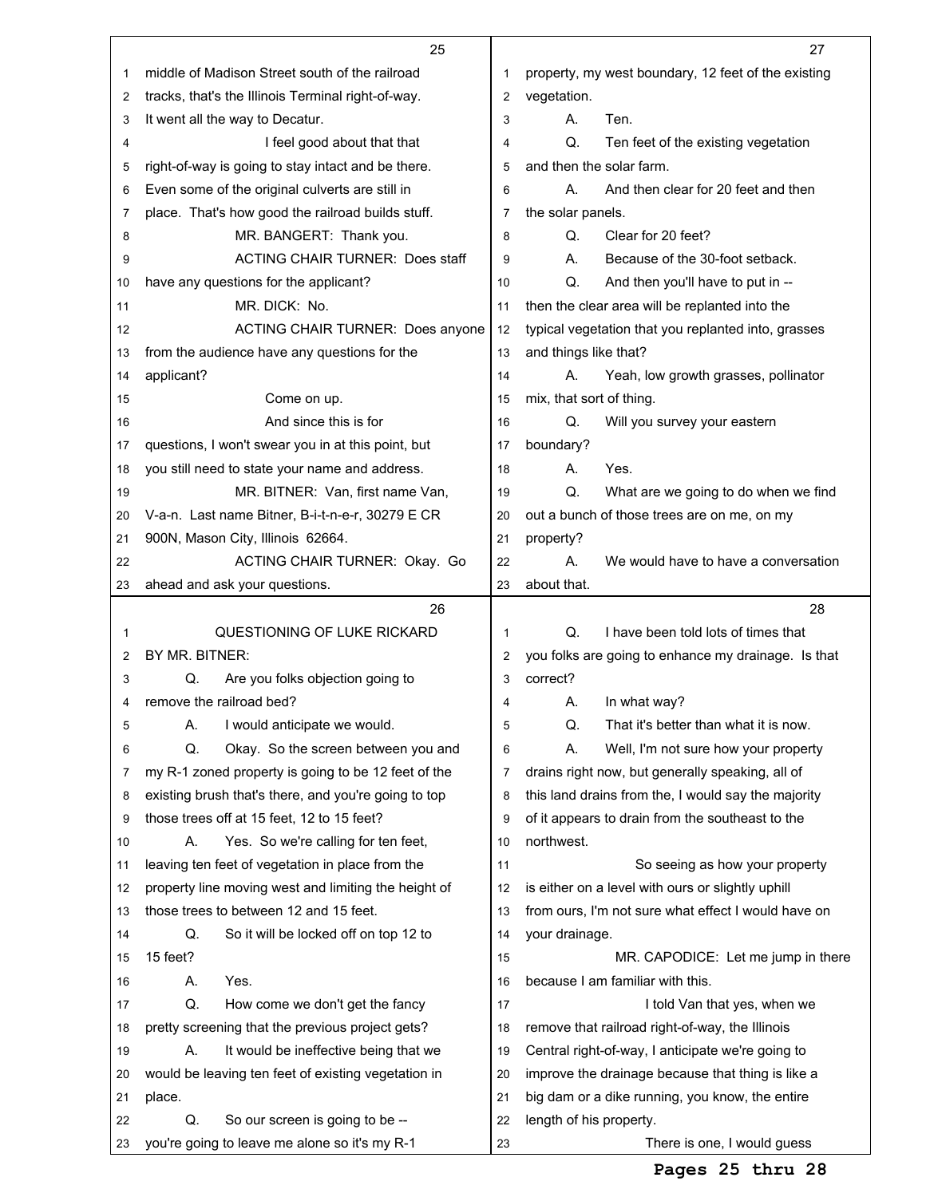|    | 25                                                   |    | 27                                                  |
|----|------------------------------------------------------|----|-----------------------------------------------------|
| 1  | middle of Madison Street south of the railroad       |    | property, my west boundary, 12 feet of the existing |
| 2  | tracks, that's the Illinois Terminal right-of-way.   | 2  | vegetation.                                         |
| 3  | It went all the way to Decatur.                      | 3  | А.<br>Ten.                                          |
| 4  | I feel good about that that                          | 4  | Q.<br>Ten feet of the existing vegetation           |
| 5  | right-of-way is going to stay intact and be there.   | 5  | and then the solar farm.                            |
| 6  | Even some of the original culverts are still in      | 6  | And then clear for 20 feet and then<br>А.           |
| 7  | place. That's how good the railroad builds stuff.    | 7  | the solar panels.                                   |
| 8  | MR. BANGERT: Thank you.                              | 8  | Q.<br>Clear for 20 feet?                            |
| 9  | <b>ACTING CHAIR TURNER: Does staff</b>               | 9  | А.<br>Because of the 30-foot setback.               |
| 10 | have any questions for the applicant?                | 10 | Q.<br>And then you'll have to put in --             |
| 11 | MR. DICK: No.                                        | 11 | then the clear area will be replanted into the      |
| 12 | <b>ACTING CHAIR TURNER: Does anyone</b>              | 12 | typical vegetation that you replanted into, grasses |
| 13 | from the audience have any questions for the         | 13 | and things like that?                               |
| 14 | applicant?                                           | 14 | Yeah, low growth grasses, pollinator<br>А.          |
| 15 | Come on up.                                          | 15 | mix, that sort of thing.                            |
| 16 | And since this is for                                | 16 | Q.<br>Will you survey your eastern                  |
| 17 | questions, I won't swear you in at this point, but   | 17 | boundary?                                           |
| 18 | you still need to state your name and address.       | 18 | А.<br>Yes.                                          |
| 19 | MR. BITNER: Van, first name Van,                     | 19 | Q.<br>What are we going to do when we find          |
| 20 | V-a-n. Last name Bitner, B-i-t-n-e-r, 30279 E CR     | 20 | out a bunch of those trees are on me, on my         |
| 21 | 900N, Mason City, Illinois 62664.                    | 21 | property?                                           |
| 22 | ACTING CHAIR TURNER: Okay. Go                        | 22 | А.<br>We would have to have a conversation          |
| 23 | ahead and ask your questions.                        | 23 | about that.                                         |
|    |                                                      |    |                                                     |
|    | 26                                                   |    | 28                                                  |
| 1  | QUESTIONING OF LUKE RICKARD                          | 1  | Q.<br>I have been told lots of times that           |
| 2  | BY MR. BITNER:                                       | 2  | you folks are going to enhance my drainage. Is that |
| 3  | Q.<br>Are you folks objection going to               | 3  | correct?                                            |
| 4  | remove the railroad bed?                             | 4  | In what way?<br>А.                                  |
| 5  | I would anticipate we would.<br>А.                   | 5  | Q.<br>That it's better than what it is now.         |
| 6  | Q.<br>Okay. So the screen between you and            | 6  | Α.<br>Well, I'm not sure how your property          |
| 7  | my R-1 zoned property is going to be 12 feet of the  | 7  | drains right now, but generally speaking, all of    |
| 8  | existing brush that's there, and you're going to top | 8  | this land drains from the, I would say the majority |
| 9  | those trees off at 15 feet, 12 to 15 feet?           | 9  | of it appears to drain from the southeast to the    |
| 10 | Yes. So we're calling for ten feet,<br>А.            | 10 | northwest.                                          |
| 11 | leaving ten feet of vegetation in place from the     | 11 | So seeing as how your property                      |
| 12 | property line moving west and limiting the height of | 12 | is either on a level with ours or slightly uphill   |
| 13 | those trees to between 12 and 15 feet.               | 13 | from ours, I'm not sure what effect I would have on |
| 14 | Q.<br>So it will be locked off on top 12 to          | 14 | your drainage.                                      |
| 15 | 15 feet?                                             | 15 | MR. CAPODICE: Let me jump in there                  |
| 16 | Yes.<br>А.                                           | 16 | because I am familiar with this.                    |
| 17 | Q.<br>How come we don't get the fancy                | 17 | I told Van that yes, when we                        |
| 18 | pretty screening that the previous project gets?     | 18 | remove that railroad right-of-way, the Illinois     |
| 19 | А.<br>It would be ineffective being that we          | 19 | Central right-of-way, I anticipate we're going to   |
| 20 | would be leaving ten feet of existing vegetation in  | 20 | improve the drainage because that thing is like a   |
| 21 | place.                                               | 21 | big dam or a dike running, you know, the entire     |
| 22 | Q.<br>So our screen is going to be --                | 22 | length of his property.                             |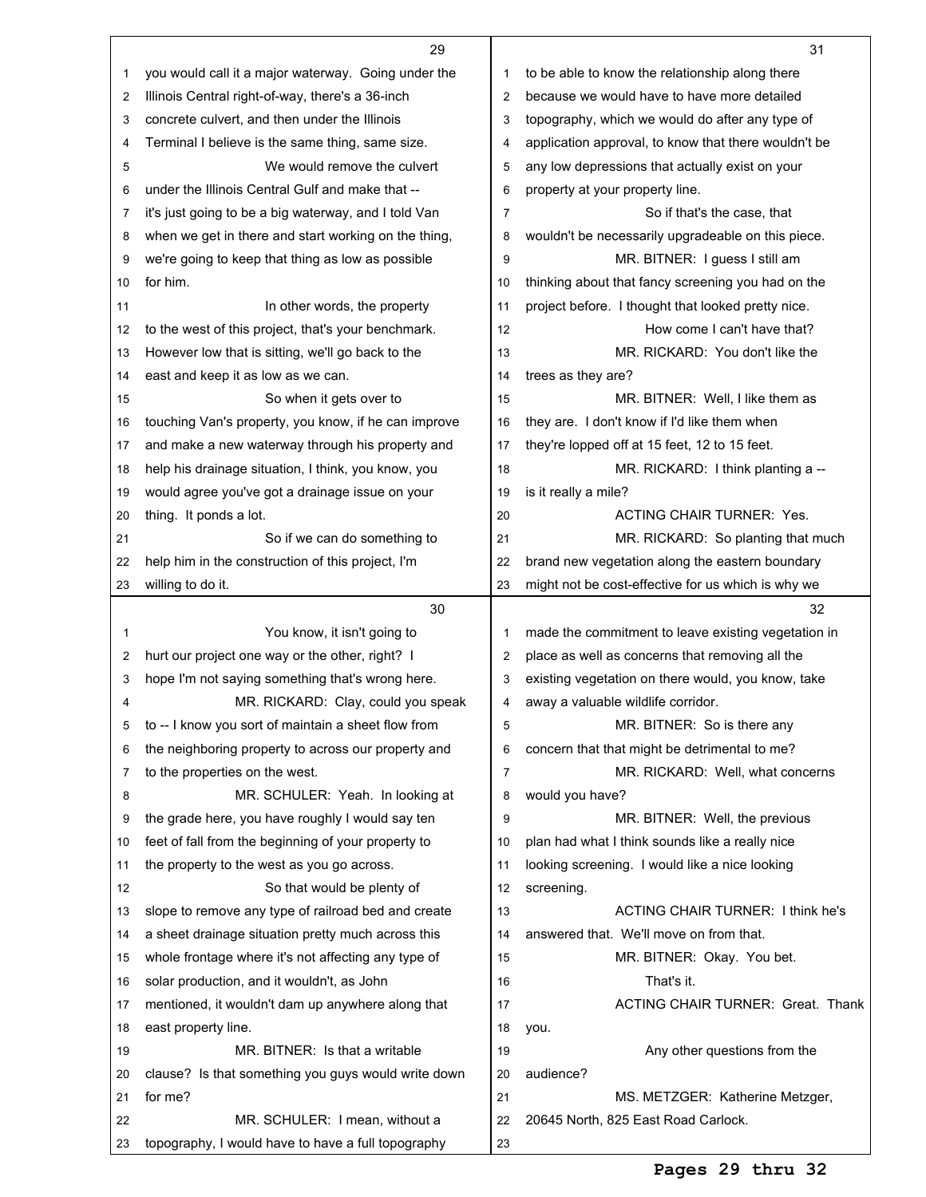|    | 29                                                                                                     |    | 31                                                   |
|----|--------------------------------------------------------------------------------------------------------|----|------------------------------------------------------|
| 1  | you would call it a major waterway. Going under the                                                    | 1  | to be able to know the relationship along there      |
| 2  | Illinois Central right-of-way, there's a 36-inch                                                       | 2  | because we would have to have more detailed          |
| 3  | concrete culvert, and then under the Illinois                                                          | 3  | topography, which we would do after any type of      |
| 4  | Terminal I believe is the same thing, same size.                                                       | 4  | application approval, to know that there wouldn't be |
| 5  | We would remove the culvert                                                                            | 5  | any low depressions that actually exist on your      |
| 6  | under the Illinois Central Gulf and make that --                                                       | 6  | property at your property line.                      |
| 7  | it's just going to be a big waterway, and I told Van                                                   | 7  | So if that's the case, that                          |
| 8  | when we get in there and start working on the thing,                                                   | 8  | wouldn't be necessarily upgradeable on this piece.   |
| 9  | we're going to keep that thing as low as possible                                                      | 9  | MR. BITNER: I guess I still am                       |
| 10 | for him.                                                                                               | 10 | thinking about that fancy screening you had on the   |
| 11 | In other words, the property                                                                           | 11 | project before. I thought that looked pretty nice.   |
| 12 | to the west of this project, that's your benchmark.                                                    | 12 | How come I can't have that?                          |
| 13 | However low that is sitting, we'll go back to the                                                      | 13 | MR. RICKARD: You don't like the                      |
| 14 | east and keep it as low as we can.                                                                     | 14 | trees as they are?                                   |
| 15 | So when it gets over to                                                                                | 15 | MR. BITNER: Well, I like them as                     |
| 16 | touching Van's property, you know, if he can improve                                                   | 16 | they are. I don't know if I'd like them when         |
| 17 | and make a new waterway through his property and                                                       | 17 | they're lopped off at 15 feet, 12 to 15 feet.        |
|    |                                                                                                        | 18 | MR. RICKARD: I think planting a --                   |
| 18 | help his drainage situation, I think, you know, you<br>would agree you've got a drainage issue on your | 19 | is it really a mile?                                 |
| 19 |                                                                                                        | 20 | <b>ACTING CHAIR TURNER: Yes.</b>                     |
| 20 | thing. It ponds a lot.                                                                                 |    |                                                      |
| 21 | So if we can do something to                                                                           | 21 | MR. RICKARD: So planting that much                   |
| 22 | help him in the construction of this project, I'm                                                      | 22 | brand new vegetation along the eastern boundary      |
| 23 | willing to do it.                                                                                      | 23 | might not be cost-effective for us which is why we   |
|    |                                                                                                        |    |                                                      |
|    | 30                                                                                                     |    | 32                                                   |
| 1  | You know, it isn't going to                                                                            | 1  | made the commitment to leave existing vegetation in  |
| 2  | hurt our project one way or the other, right? I                                                        | 2  | place as well as concerns that removing all the      |
| 3  | hope I'm not saying something that's wrong here.                                                       | 3  | existing vegetation on there would, you know, take   |
| 4  | MR. RICKARD: Clay, could you speak                                                                     | 4  | away a valuable wildlife corridor.                   |
| 5  | to -- I know you sort of maintain a sheet flow from                                                    | 5  | MR. BITNER: So is there any                          |
| 6  | the neighboring property to across our property and                                                    | 6  | concern that that might be detrimental to me?        |
| 7  | to the properties on the west.                                                                         | 7  | MR. RICKARD: Well, what concerns                     |
| 8  | MR. SCHULER: Yeah. In looking at                                                                       | 8  | would you have?                                      |
| 9  | the grade here, you have roughly I would say ten                                                       | 9  | MR. BITNER: Well, the previous                       |
| 10 | feet of fall from the beginning of your property to                                                    | 10 | plan had what I think sounds like a really nice      |
| 11 | the property to the west as you go across.                                                             | 11 | looking screening. I would like a nice looking       |
| 12 | So that would be plenty of                                                                             | 12 | screening.                                           |
| 13 | slope to remove any type of railroad bed and create                                                    | 13 | <b>ACTING CHAIR TURNER: I think he's</b>             |
| 14 | a sheet drainage situation pretty much across this                                                     | 14 | answered that. We'll move on from that.              |
| 15 | whole frontage where it's not affecting any type of                                                    | 15 | MR. BITNER: Okay. You bet.                           |
| 16 | solar production, and it wouldn't, as John                                                             | 16 | That's it.                                           |
| 17 | mentioned, it wouldn't dam up anywhere along that                                                      | 17 | ACTING CHAIR TURNER: Great. Thank                    |
| 18 | east property line.                                                                                    | 18 | you.                                                 |
| 19 | MR. BITNER: Is that a writable                                                                         | 19 | Any other questions from the                         |
| 20 | clause? Is that something you guys would write down                                                    | 20 | audience?                                            |
| 21 | for me?                                                                                                | 21 | MS. METZGER: Katherine Metzger,                      |
| 22 | MR. SCHULER: I mean, without a                                                                         | 22 | 20645 North, 825 East Road Carlock.                  |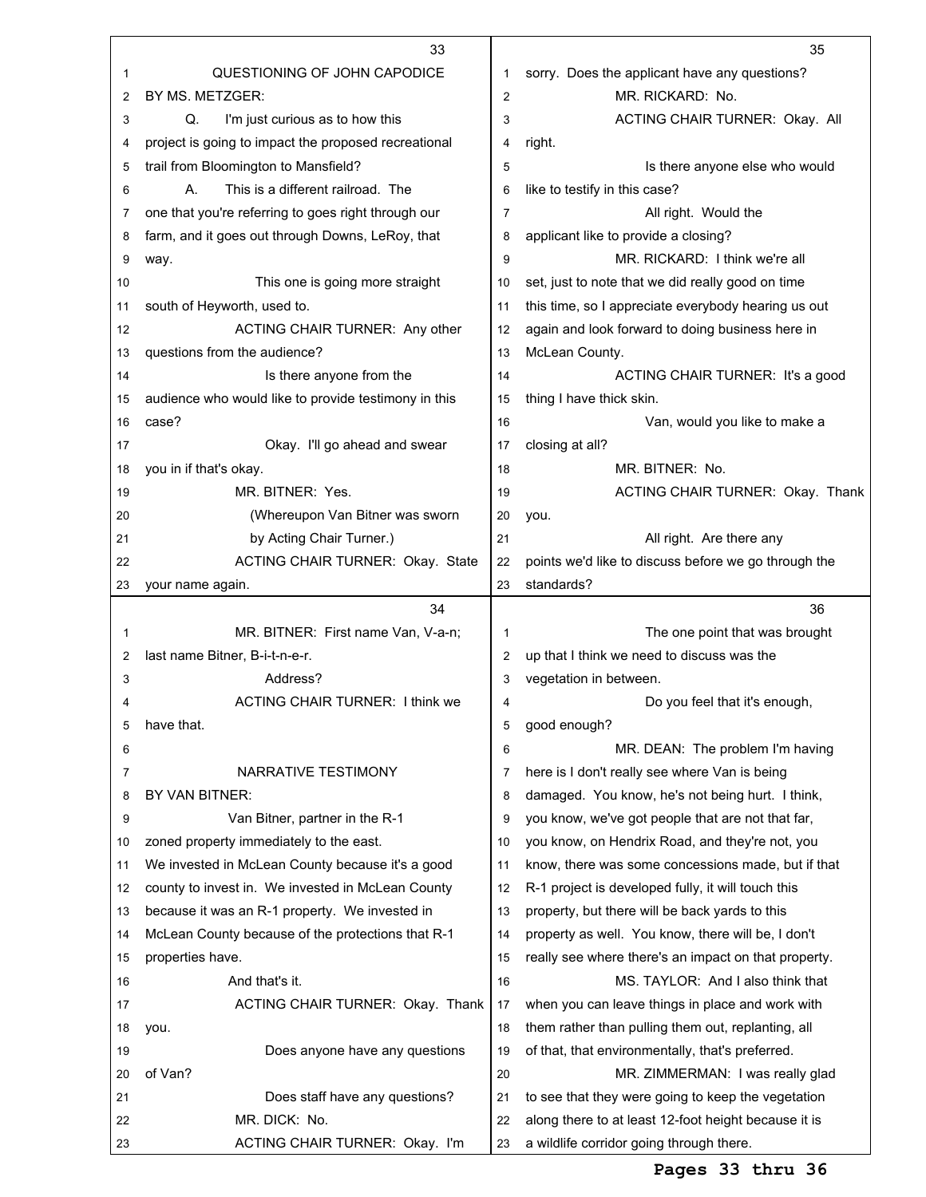|    | 33                                                   |    | 35                                                                                               |
|----|------------------------------------------------------|----|--------------------------------------------------------------------------------------------------|
| 1  | QUESTIONING OF JOHN CAPODICE                         | 1  | sorry. Does the applicant have any questions?                                                    |
| 2  | BY MS. METZGER:                                      | 2  | MR. RICKARD: No.                                                                                 |
| 3  | Q.<br>I'm just curious as to how this                | 3  | ACTING CHAIR TURNER: Okay. All                                                                   |
| 4  | project is going to impact the proposed recreational | 4  | right.                                                                                           |
| 5  | trail from Bloomington to Mansfield?                 | 5  | Is there anyone else who would                                                                   |
| 6  | This is a different railroad. The<br>А.              | 6  | like to testify in this case?                                                                    |
| 7  | one that you're referring to goes right through our  | 7  | All right. Would the                                                                             |
| 8  | farm, and it goes out through Downs, LeRoy, that     | 8  | applicant like to provide a closing?                                                             |
| 9  | way.                                                 | 9  | MR. RICKARD: I think we're all                                                                   |
| 10 | This one is going more straight                      | 10 | set, just to note that we did really good on time                                                |
| 11 | south of Heyworth, used to.                          | 11 | this time, so I appreciate everybody hearing us out                                              |
| 12 | ACTING CHAIR TURNER: Any other                       | 12 | again and look forward to doing business here in                                                 |
| 13 | questions from the audience?                         | 13 | McLean County.                                                                                   |
| 14 | Is there anyone from the                             | 14 | ACTING CHAIR TURNER: It's a good                                                                 |
| 15 | audience who would like to provide testimony in this | 15 | thing I have thick skin.                                                                         |
| 16 | case?                                                | 16 | Van, would you like to make a                                                                    |
| 17 | Okay. I'll go ahead and swear                        | 17 | closing at all?                                                                                  |
| 18 | you in if that's okay.                               | 18 | MR. BITNER: No.                                                                                  |
| 19 | MR. BITNER: Yes.                                     | 19 | ACTING CHAIR TURNER: Okay. Thank                                                                 |
| 20 | (Whereupon Van Bitner was sworn                      | 20 | you.                                                                                             |
| 21 | by Acting Chair Turner.)                             | 21 | All right. Are there any                                                                         |
| 22 | ACTING CHAIR TURNER: Okay. State                     | 22 | points we'd like to discuss before we go through the                                             |
| 23 | your name again.                                     | 23 | standards?                                                                                       |
|    |                                                      |    |                                                                                                  |
|    | 34                                                   |    |                                                                                                  |
|    |                                                      |    | 36                                                                                               |
| 1  | MR. BITNER: First name Van, V-a-n;                   | 1  | The one point that was brought                                                                   |
| 2  | last name Bitner, B-i-t-n-e-r.                       | 2  | up that I think we need to discuss was the                                                       |
| 3  | Address?                                             | 3  | vegetation in between.                                                                           |
| 4  | <b>ACTING CHAIR TURNER: I think we</b>               | 4  | Do you feel that it's enough,                                                                    |
| 5  | have that.                                           | 5  | good enough?                                                                                     |
| 6  |                                                      | 6  | MR. DEAN: The problem I'm having                                                                 |
| 7  | NARRATIVE TESTIMONY                                  | 7  | here is I don't really see where Van is being                                                    |
| 8  | BY VAN BITNER:                                       | 8  | damaged. You know, he's not being hurt. I think,                                                 |
| 9  | Van Bitner, partner in the R-1                       | 9  | you know, we've got people that are not that far,                                                |
| 10 | zoned property immediately to the east.              | 10 | you know, on Hendrix Road, and they're not, you                                                  |
| 11 | We invested in McLean County because it's a good     | 11 | know, there was some concessions made, but if that                                               |
| 12 | county to invest in. We invested in McLean County    | 12 | R-1 project is developed fully, it will touch this                                               |
| 13 | because it was an R-1 property. We invested in       | 13 | property, but there will be back yards to this                                                   |
| 14 | McLean County because of the protections that R-1    | 14 | property as well. You know, there will be, I don't                                               |
| 15 | properties have.                                     | 15 | really see where there's an impact on that property.                                             |
| 16 | And that's it.                                       | 16 | MS. TAYLOR: And I also think that                                                                |
| 17 | ACTING CHAIR TURNER: Okay. Thank                     | 17 | when you can leave things in place and work with                                                 |
| 18 | you.                                                 | 18 | them rather than pulling them out, replanting, all                                               |
| 19 | Does anyone have any questions                       | 19 | of that, that environmentally, that's preferred.                                                 |
| 20 | of Van?                                              | 20 | MR. ZIMMERMAN: I was really glad                                                                 |
| 21 | Does staff have any questions?                       | 21 | to see that they were going to keep the vegetation                                               |
| 22 | MR. DICK: No.<br>ACTING CHAIR TURNER: Okay. I'm      | 22 | along there to at least 12-foot height because it is<br>a wildlife corridor going through there. |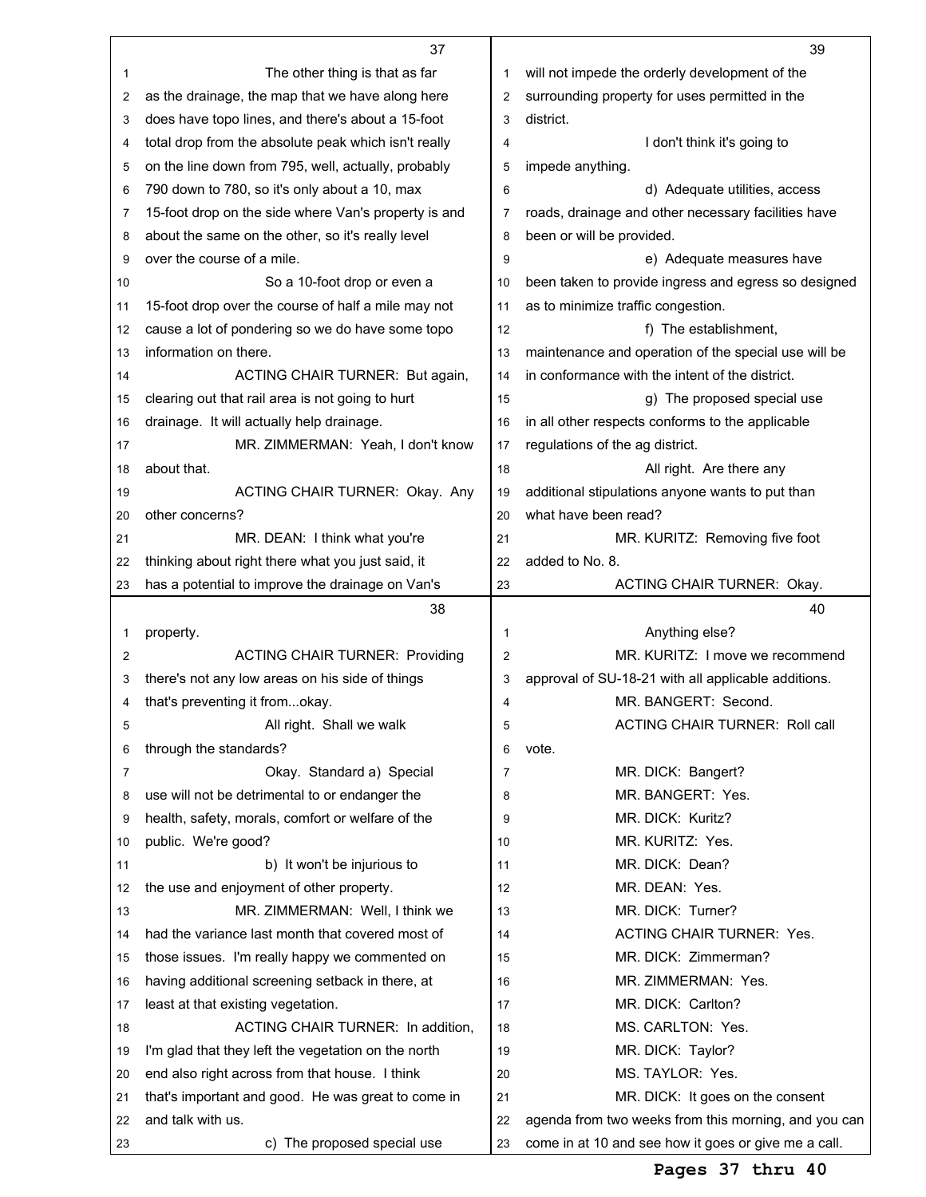|    | 37                                                   |                                                     | 39                                                   |
|----|------------------------------------------------------|-----------------------------------------------------|------------------------------------------------------|
| 1  | The other thing is that as far                       | will not impede the orderly development of the<br>1 |                                                      |
| 2  | as the drainage, the map that we have along here     | 2                                                   | surrounding property for uses permitted in the       |
| 3  | does have topo lines, and there's about a 15-foot    | 3                                                   | district.                                            |
| 4  | total drop from the absolute peak which isn't really | 4                                                   | I don't think it's going to                          |
| 5  | on the line down from 795, well, actually, probably  | 5                                                   | impede anything.                                     |
| 6  | 790 down to 780, so it's only about a 10, max        | 6                                                   | d) Adequate utilities, access                        |
| 7  | 15-foot drop on the side where Van's property is and | 7                                                   | roads, drainage and other necessary facilities have  |
| 8  | about the same on the other, so it's really level    | 8                                                   | been or will be provided.                            |
| 9  | over the course of a mile.                           | 9                                                   | e) Adequate measures have                            |
| 10 | So a 10-foot drop or even a                          | 10                                                  | been taken to provide ingress and egress so designed |
| 11 | 15-foot drop over the course of half a mile may not  | 11                                                  | as to minimize traffic congestion.                   |
| 12 | cause a lot of pondering so we do have some topo     | 12                                                  | f) The establishment,                                |
| 13 | information on there.                                | 13                                                  | maintenance and operation of the special use will be |
| 14 | ACTING CHAIR TURNER: But again,                      | 14                                                  | in conformance with the intent of the district.      |
|    |                                                      | 15                                                  | g) The proposed special use                          |
| 15 | clearing out that rail area is not going to hurt     |                                                     |                                                      |
| 16 | drainage. It will actually help drainage.            | 16                                                  | in all other respects conforms to the applicable     |
| 17 | MR. ZIMMERMAN: Yeah, I don't know                    | 17                                                  | regulations of the ag district.                      |
| 18 | about that.                                          | 18                                                  | All right. Are there any                             |
| 19 | ACTING CHAIR TURNER: Okay. Any                       | 19                                                  | additional stipulations anyone wants to put than     |
| 20 | other concerns?                                      | 20                                                  | what have been read?                                 |
| 21 | MR. DEAN: I think what you're                        | 21                                                  | MR. KURITZ: Removing five foot                       |
| 22 | thinking about right there what you just said, it    | 22                                                  | added to No. 8.                                      |
| 23 | has a potential to improve the drainage on Van's     | 23                                                  | <b>ACTING CHAIR TURNER: Okay.</b>                    |
|    |                                                      |                                                     |                                                      |
|    | 38                                                   |                                                     | 40                                                   |
| 1  | property.                                            | 1                                                   | Anything else?                                       |
| 2  | <b>ACTING CHAIR TURNER: Providing</b>                | $\overline{c}$                                      | MR. KURITZ: I move we recommend                      |
| 3  | there's not any low areas on his side of things      | 3                                                   | approval of SU-18-21 with all applicable additions.  |
| 4  | that's preventing it fromokay.                       | 4                                                   | MR. BANGERT: Second.                                 |
| 5  | All right. Shall we walk                             | 5                                                   | <b>ACTING CHAIR TURNER: Roll call</b>                |
| 6  | through the standards?                               | 6                                                   | vote.                                                |
| 7  | Okay. Standard a) Special                            | 7                                                   | MR. DICK: Bangert?                                   |
| 8  | use will not be detrimental to or endanger the       | 8                                                   | MR. BANGERT: Yes.                                    |
| 9  | health, safety, morals, comfort or welfare of the    | 9                                                   | MR. DICK: Kuritz?                                    |
| 10 | public. We're good?                                  | 10                                                  | MR. KURITZ: Yes.                                     |
| 11 | b) It won't be injurious to                          | 11                                                  | MR. DICK: Dean?                                      |
| 12 | the use and enjoyment of other property.             | 12                                                  | MR. DEAN: Yes.                                       |
| 13 | MR. ZIMMERMAN: Well, I think we                      | 13                                                  | MR. DICK: Turner?                                    |
| 14 | had the variance last month that covered most of     | 14                                                  | ACTING CHAIR TURNER: Yes.                            |
| 15 | those issues. I'm really happy we commented on       | 15                                                  | MR. DICK: Zimmerman?                                 |
| 16 | having additional screening setback in there, at     | 16                                                  | MR. ZIMMERMAN: Yes.                                  |
| 17 | least at that existing vegetation.                   | 17                                                  | MR. DICK: Carlton?                                   |
| 18 | ACTING CHAIR TURNER: In addition,                    | 18                                                  | MS. CARLTON: Yes.                                    |
| 19 | I'm glad that they left the vegetation on the north  | 19                                                  | MR. DICK: Taylor?                                    |
| 20 | end also right across from that house. I think       | 20                                                  | MS. TAYLOR: Yes.                                     |
| 21 | that's important and good. He was great to come in   | 21                                                  | MR. DICK: It goes on the consent                     |
| 22 | and talk with us.                                    | 22                                                  | agenda from two weeks from this morning, and you can |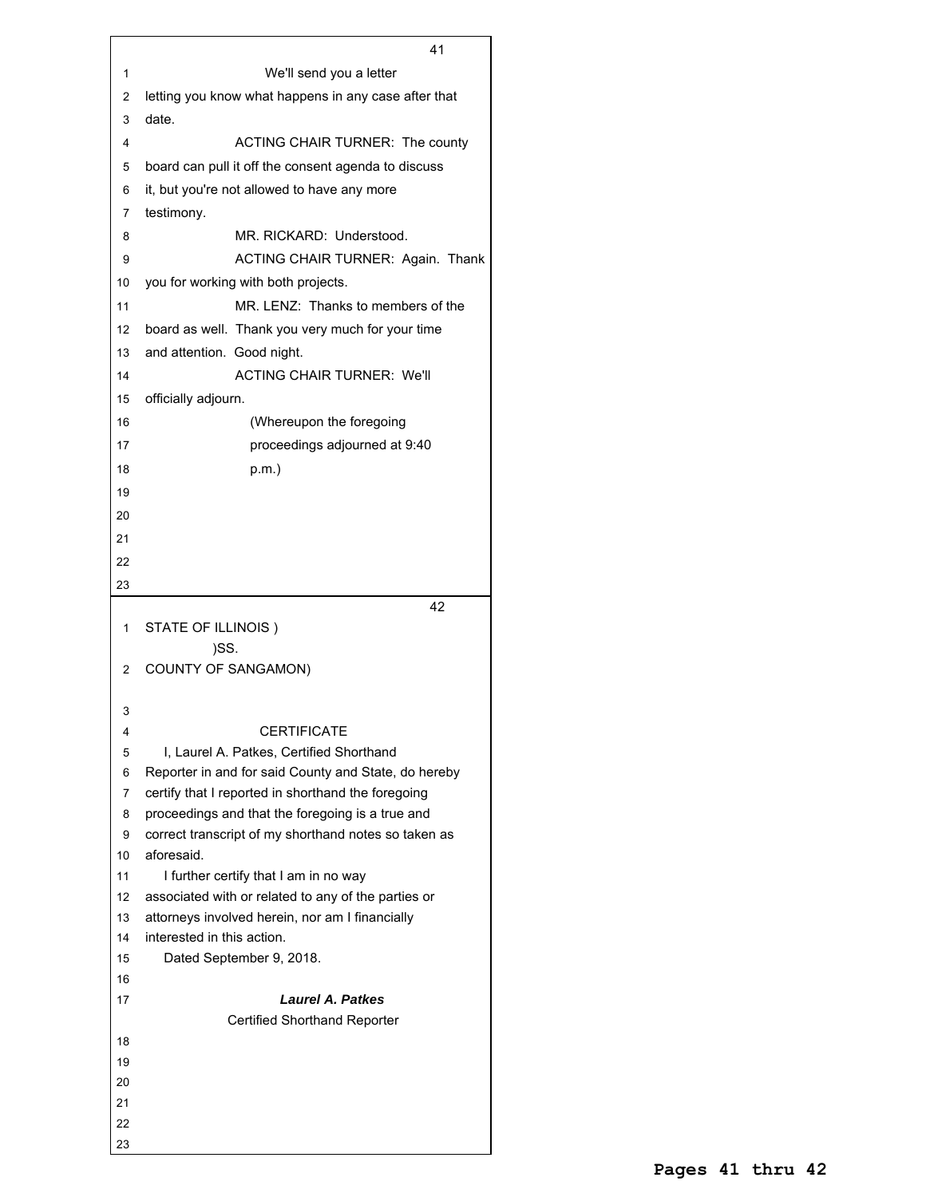We'll send you a letter letting you know what happens in any case after that date. ACTING CHAIR TURNER: The county board can pull it off the consent agenda to discuss it, but you're not allowed to have any more testimony. MR. RICKARD: Understood. 9 ACTING CHAIR TURNER: Again. Thank you for working with both projects. MR. LENZ: Thanks to members of the board as well. Thank you very much for your time and attention. Good night. ACTING CHAIR TURNER: We'll officially adjourn. (Whereupon the foregoing proceedings adjourned at 9:40 p.m.) STATE OF ILLINOIS ) )SS. COUNTY OF SANGAMON) CERTIFICATE I, Laurel A. Patkes, Certified Shorthand Reporter in and for said County and State, do hereby certify that I reported in shorthand the foregoing proceedings and that the foregoing is a true and correct transcript of my shorthand notes so taken as aforesaid. 11 I further certify that I am in no way associated with or related to any of the parties or attorneys involved herein, nor am I financially interested in this action. Dated September 9, 2018. *Laurel A. Patkes* Certified Shorthand Reporter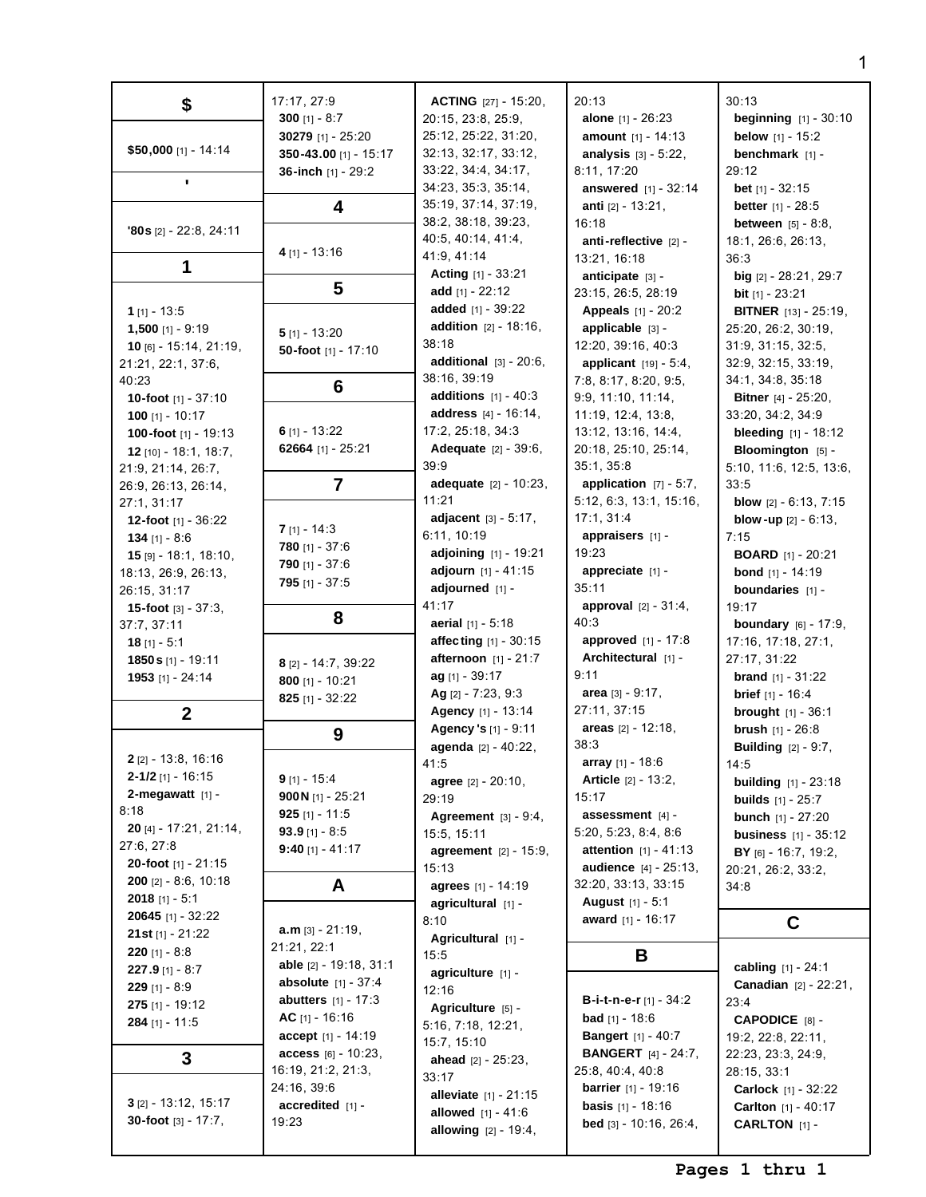| \$                                            | 17:17, 27:9                  | <b>ACTING</b> $[27] - 15:20$ ,                         | 20:13                           | 30:13                                         |
|-----------------------------------------------|------------------------------|--------------------------------------------------------|---------------------------------|-----------------------------------------------|
|                                               | 300 [1] - $8:7$              | 20:15, 23:8, 25:9,                                     | <b>alone</b> $[1] - 26:23$      | <b>beginning</b> $[1] - 30:10$                |
|                                               | 30279 [1] - 25:20            | 25:12, 25:22, 31:20,                                   | amount [1] - 14:13              | <b>below</b> $[1] - 15:2$                     |
| \$50,000 [1] - 14:14                          | 350-43.00 [1] - 15:17        | 32:13, 32:17, 33:12,                                   | <b>analysis</b> $[3] - 5:22$ ,  | benchmark [1] -                               |
|                                               | 36-inch [1] - 29:2           | 33:22, 34:4, 34:17,                                    | 8:11, 17:20                     | 29:12                                         |
| $\blacksquare$                                |                              | 34:23, 35:3, 35:14,                                    | answered [1] - 32:14            | <b>bet</b> $[1]$ - 32:15                      |
|                                               |                              | 35:19, 37:14, 37:19,                                   | anti $[2] - 13:21$ ,            | <b>better</b> [1] - 28:5                      |
|                                               | 4                            | 38:2, 38:18, 39:23,                                    |                                 |                                               |
| $'80s$ [2] - 22:8, 24:11                      |                              |                                                        | 16:18                           | <b>between</b> $[5] - 8:8$ ,                  |
|                                               | $4$ [1] - 13:16              | 40:5, 40:14, 41:4,                                     | anti-reflective [2] -           | 18:1, 26:6, 26:13,                            |
| 1                                             |                              | 41:9, 41:14                                            | 13:21, 16:18                    | 36:3                                          |
|                                               |                              | Acting [1] - 33:21                                     | anticipate [3] -                | big $[2] - 28:21$ , 29:7                      |
|                                               | 5                            | add $[1] - 22:12$                                      | 23:15, 26:5, 28:19              | bit [1] - 23:21                               |
| 1 [1] - 13:5                                  |                              | added [1] - 39:22                                      | <b>Appeals</b> [1] - 20:2       | <b>BITNER</b> [13] - 25:19,                   |
| $1,500$ [1] - 9:19                            | $5$ [1] - 13:20              | <b>addition</b> $[2] - 18:16$ ,                        | applicable [3] -                | 25:20, 26:2, 30:19,                           |
| $10$ [6] - $15:14$ , $21:19$ ,                | 50-foot [1] - 17:10          | 38:18                                                  | 12:20, 39:16, 40:3              | 31:9, 31:15, 32:5,                            |
| 21:21, 22:1, 37:6,                            |                              | additional $[3] - 20:6$ ,                              | applicant [19] - 5:4,           | 32:9, 32:15, 33:19,                           |
| 40:23                                         |                              | 38:16, 39:19                                           | 7:8, 8:17, 8:20, 9:5,           | 34:1, 34:8, 35:18                             |
| 10-foot [1] - 37:10                           | 6                            | additions $[1] - 40:3$                                 | 9:9, 11:10, 11:14,              | <b>Bitner</b> $[4] - 25:20$ ,                 |
| 100 [1] - 10:17                               |                              | address [4] - 16:14,                                   | 11:19, 12:4, 13:8,              | 33:20, 34:2, 34:9                             |
|                                               | 6 $[1] - 13:22$              | 17:2, 25:18, 34:3                                      | 13:12, 13:16, 14:4,             | <b>bleeding</b> $[1] - 18:12$                 |
| 100-foot [1] - 19:13<br>12 [10] - 18:1, 18:7, | 62664 [1] - $25:21$          | Adequate [2] - 39:6,                                   | 20:18, 25:10, 25:14,            | Bloomington [5] -                             |
|                                               |                              | 39:9                                                   | 35:1, 35:8                      |                                               |
| 21:9, 21:14, 26:7,                            |                              |                                                        |                                 | 5:10, 11:6, 12:5, 13:6,                       |
| 26:9, 26:13, 26:14,                           | $\overline{7}$               | adequate [2] - 10:23,                                  | application $[7] - 5:7$ ,       | 33:5                                          |
| 27:1, 31:17                                   |                              | 11:21                                                  | 5:12, 6:3, 13:1, 15:16,         | <b>blow</b> $[2] - 6:13, 7:15$                |
| 12-foot [1] - 36:22                           | $7$ [1] - 14:3               | <b>adjacent</b> $[3] - 5:17$ ,                         | 17:1, 31:4                      | <b>blow-up</b> $[2] - 6:13$ ,                 |
| 134 [1] - 8:6                                 | 780 [1] - $37:6$             | 6:11, 10:19                                            | appraisers [1] -                | 7:15                                          |
| $15$ [9] - 18:1, 18:10,                       | 790 [1] - 37:6               | adjoining [1] - 19:21                                  | 19:23                           | <b>BOARD</b> [1] - 20:21                      |
| 18:13, 26:9, 26:13,                           |                              | adjourn [1] - 41:15                                    | appreciate [1] -                | <b>bond</b> $[1] - 14:19$                     |
| 26:15, 31:17                                  | 795 [1] - $37:5$             | adjourned [1] -                                        | 35:11                           | boundaries [1] -                              |
| <b>15-foot</b> $[3] - 37:3$ ,                 |                              | 41:17                                                  | <b>approval</b> $[2] - 31:4$ ,  | 19:17                                         |
| 37:7, 37:11                                   | 8                            | aerial $[1] - 5:18$                                    | 40:3                            | <b>boundary</b> $[6] - 17:9$ ,                |
| 18 $[1] - 5:1$                                |                              | affecting [1] - 30:15                                  | <b>approved</b> $[1] - 17:8$    | 17:16, 17:18, 27:1,                           |
| 1850 s [1] - 19:11                            | 8 [2] - 14:7, 39:22          | afternoon [1] - 21:7                                   | Architectural [1] -             | 27:17, 31:22                                  |
| 1953 [1] - 24:14                              | 800 [1] - 10:21              | $ag$ [1] - 39:17                                       | 9:11                            | <b>brand</b> $[1] - 31:22$                    |
|                                               |                              | Ag $[2] - 7:23, 9:3$                                   | area $[3] - 9:17$ ,             | <b>brief</b> $[1] - 16:4$                     |
| $\boldsymbol{2}$                              | 825 [1] - $32:22$            | Agency [1] - 13:14                                     | 27:11, 37:15                    | <b>brought</b> $[1] - 36:1$                   |
|                                               |                              | Agency 's [1] - 9:11                                   | areas $[2] - 12:18$ ,           | <b>brush</b> $[1] - 26:8$                     |
|                                               | 9                            | agenda [2] - 40:22,                                    | 38:3                            |                                               |
| <b>2</b> [2] - 13:8, 16:16                    |                              | 41:5                                                   | array [1] - 18:6                | <b>Building</b> [2] - 9:7,<br>14:5            |
| $2 - 1/2$ [1] - 16:15                         | $9$ [1] - 15:4               |                                                        | <b>Article</b> $[2] - 13:2$     |                                               |
| 2-megawatt $[1]$ -                            | 900N [1] - 25:21             | agree [2] - 20:10,                                     |                                 | <b>building</b> $[1] - 23:18$                 |
| 8:18                                          |                              | 29:19                                                  | 15:17                           | <b>builds</b> $[1] - 25:7$                    |
| <b>20</b> [4] - $17:21$ , $21:14$ ,           | 925 [1] - 11:5               | <b>Agreement</b> $[3] - 9:4$ ,                         | assessment $[4]$ -              | <b>bunch</b> [1] - 27:20                      |
| 27:6, 27:8                                    | 93.9 [1] - 8:5               | 15:5, 15:11                                            | 5:20, 5:23, 8:4, 8:6            | <b>business</b> [1] - 35:12                   |
| 20-foot [1] - 21:15                           | 9:40 [1] - 41:17             | <b>agreement</b> $[2] - 15:9$ ,                        | <b>attention</b> $[1] - 41:13$  | BY [6] - 16:7, 19:2,                          |
|                                               |                              | 15:13                                                  | <b>audience</b> [4] - 25:13,    | 20:21, 26:2, 33:2,                            |
| <b>200</b> [2] $- 8:6, 10:18$                 | A                            | agrees [1] - 14:19                                     | 32:20, 33:13, 33:15             | 34:8                                          |
| <b>2018</b> [1] - 5:1                         |                              | agricultural [1] -                                     | August [1] - 5:1                |                                               |
| <b>20645</b> [1] - 32:22                      |                              | 8:10                                                   | award [1] - 16:17               | C                                             |
| <b>21 st</b> $[1]$ - 21:22                    | $a.m$ [3] - 21:19,           | Agricultural [1] -                                     |                                 |                                               |
| 220 [1] - $8:8$                               | 21:21, 22:1                  | 15:5                                                   | B                               |                                               |
| <b>227.9</b> [1] - 8:7                        | able [2] - 19:18, 31:1       | agriculture [1] -                                      |                                 | cabling [1] - 24:1                            |
| 229 [1] - 8:9                                 | <b>absolute</b> $[1] - 37:4$ | 12:16                                                  |                                 | <b>Canadian</b> $[2] - 22:21$ ,               |
| $275$ [1] - 19:12                             | <b>abutters</b> $[1] - 17:3$ | Agriculture [5] -                                      | <b>B-i-t-n-e-r</b> [1] - $34:2$ | 23:4                                          |
| 284 [1] - 11:5                                | AC $[1] - 16:16$             | 5:16, 7:18, 12:21,                                     | <b>bad</b> [1] - 18:6           | CAPODICE [8] -                                |
|                                               | $accept [1] - 14:19$         | 15:7, 15:10                                            | <b>Bangert</b> [1] - 40:7       | 19:2, 22:8, 22:11,                            |
| 3                                             | access [6] - 10:23,          | ahead $[2] - 25:23$ ,                                  | <b>BANGERT</b> [4] - 24:7,      | 22:23, 23:3, 24:9,                            |
|                                               | 16:19, 21:2, 21:3,           | 33:17                                                  | 25:8, 40:4, 40:8                | 28:15, 33:1                                   |
|                                               | 24:16, 39:6                  |                                                        | <b>barrier</b> $[1] - 19:16$    | Carlock [1] - 32:22                           |
| $3$ [2] - 13:12, 15:17                        |                              |                                                        |                                 |                                               |
|                                               | $accredicted$ [1] -          | <b>alleviate</b> $[1] - 21:15$                         | <b>basis</b> $[1] - 18:16$      |                                               |
| <b>30-foot</b> $[3] - 17:7$ ,                 | 19:23                        | allowed $[1] - 41:6$<br><b>allowing</b> $[2] - 19:4$ , | bed [3] - 10:16, 26:4,          | Carlton [1] - 40:17<br><b>CARLTON</b> $[1]$ - |

1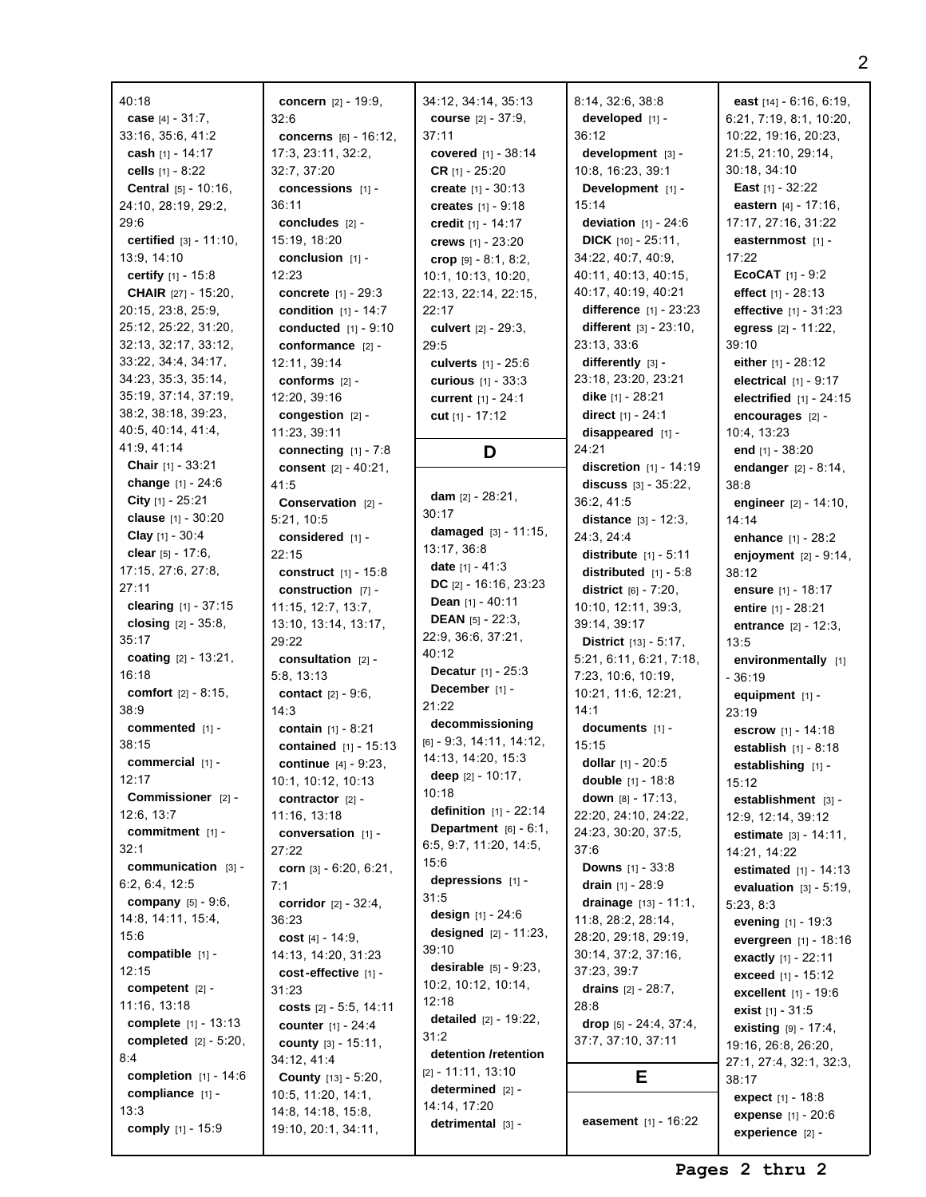| 40:18                            | concern [2] - 19:9,            | 34:12, 34:14, 35:13             | 8:14, 32:6, 38:8                | east $[14] - 6:16, 6:19,$      |
|----------------------------------|--------------------------------|---------------------------------|---------------------------------|--------------------------------|
| case $[4] - 31:7$ ,              | 32:6                           | <b>course</b> $[2] - 37:9$ ,    | developed $[1]$ -               | 6:21, 7:19, 8:1, 10:20,        |
| 33:16, 35:6, 41:2                | concerns [6] - 16:12,          | 37:11                           | 36:12                           | 10:22, 19:16, 20:23,           |
| cash $[1] - 14:17$               | 17:3, 23:11, 32:2,             | covered $[1] - 38:14$           | development [3] -               | 21:5, 21:10, 29:14,            |
| cells [1] - 8:22                 | 32:7, 37:20                    | <b>CR</b> $[1] - 25:20$         | 10:8, 16:23, 39:1               | 30:18, 34:10                   |
| Central [5] - 10:16,             | concessions [1] -              | create $[1] - 30:13$            | Development [1] -               | <b>East</b> $[1] - 32:22$      |
| 24:10, 28:19, 29:2,              | 36:11                          | creates $[1] - 9:18$            | 15:14                           | eastern $[4] - 17:16$ ,        |
| 29:6                             | concludes $[2]$ -              | credit $[1] - 14:17$            | <b>deviation</b> $[1] - 24:6$   | 17:17, 27:16, 31:22            |
| <b>certified</b> $[3] - 11:10$ , | 15:19, 18:20                   | crews [1] - 23:20               | <b>DICK</b> $[10] - 25:11$ ,    | easternmost [1] -              |
|                                  |                                |                                 | 34:22, 40:7, 40:9,              | 17:22                          |
| 13:9, 14:10                      | conclusion $[1]$ -             | crop $[9] - 8:1, 8:2,$          |                                 |                                |
| <b>certify</b> $[1] - 15:8$      | 12:23                          | 10:1, 10:13, 10:20,             | 40:11, 40:13, 40:15,            | <b>ECOCAT</b> $[1] - 9:2$      |
| <b>CHAIR</b> [27] - 15:20,       | <b>concrete</b> $[1] - 29:3$   | 22:13, 22:14, 22:15,            | 40:17, 40:19, 40:21             | effect $[1] - 28:13$           |
| 20:15, 23:8, 25:9,               | <b>condition</b> $[1] - 14:7$  | 22:17                           | difference $[1] - 23:23$        | effective [1] - 31:23          |
| 25:12, 25:22, 31:20,             | conducted [1] - 9:10           | culvert $[2] - 29:3$ ,          | different $[3] - 23:10$ ,       | egress $[2] - 11:22$ ,         |
| 32:13, 32:17, 33:12,             | conformance $[2]$ -            | 29:5                            | 23:13, 33:6                     | 39:10                          |
| 33:22, 34:4, 34:17,              | 12:11, 39:14                   | culverts [1] - 25:6             | $differently$ [3] -             | either $[1] - 28:12$           |
| 34:23, 35:3, 35:14,              | conforms [2] -                 | curious [1] - 33:3              | 23:18, 23:20, 23:21             | electrical $[1] - 9:17$        |
| 35:19, 37:14, 37:19,             | 12:20, 39:16                   | current [1] - 24:1              | dike $[1] - 28:21$              | electrified [1] - 24:15        |
| 38:2, 38:18, 39:23,              | congestion $[2]$ -             | cut [1] - 17:12                 | direct [1] - 24:1               | encourages [2] -               |
| 40:5, 40:14, 41:4,               | 11:23, 39:11                   |                                 | disappeared $[1]$ -             | 10:4, 13:23                    |
| 41:9, 41:14                      | connecting $[1] - 7:8$         | D                               | 24:21                           | end $[1] - 38:20$              |
| <b>Chair</b> [1] - 33:21         | consent $[2] - 40:21$ ,        |                                 | discretion $[1] - 14:19$        | endanger $[2] - 8:14$ ,        |
| change $[1] - 24:6$              | 41:5                           |                                 | discuss $[3] - 35:22$ ,         | 38:8                           |
| City $[1]$ - 25:21               | Conservation [2] -             | dam $[2] - 28:21$ ,             | 36:2, 41:5                      | engineer $[2] - 14:10$ ,       |
| clause $[1] - 30:20$             | 5:21, 10:5                     | 30:17                           | <b>distance</b> $[3] - 12:3$ ,  | 14:14                          |
| <b>Clay</b> $[1] - 30:4$         | considered [1] -               | damaged $[3] - 11:15$ ,         | 24:3, 24:4                      | <b>enhance</b> $[1] - 28:2$    |
| clear [5] - 17:6,                | 22:15                          | 13:17, 36:8                     | <b>distribute</b> $[1] - 5:11$  | enjoyment $[2] - 9:14$ ,       |
| 17:15, 27:6, 27:8,               | construct $[1] - 15:8$         | <b>date</b> $[1] - 41:3$        | distributed $[1] - 5:8$         | 38:12                          |
| 27:11                            | construction [7] -             | DC $[2] - 16:16, 23:23$         | <b>district</b> $[6] - 7:20$ ,  |                                |
| <b>clearing</b> $[1] - 37:15$    | 11:15, 12:7, 13:7,             | <b>Dean</b> $[1] - 40:11$       |                                 | ensure [1] - 18:17             |
| closing $[2] - 35:8$ ,           |                                | <b>DEAN</b> $[5] - 22:3$        | 10:10, 12:11, 39:3,             | entire $[1] - 28:21$           |
| 35:17                            | 13:10, 13:14, 13:17,           | 22:9, 36:6, 37:21,              | 39:14, 39:17                    | entrance [2] - 12:3,           |
|                                  | 29:22                          | 40:12                           | <b>District</b> $[13] - 5:17$ , | 13:5                           |
| coating $[2] - 13:21$ ,          | consultation $[2]$ -           | <b>Decatur</b> $[1] - 25:3$     | 5:21, 6:11, 6:21, 7:18,         | environmentally [1]            |
| 16:18                            | 5:8, 13:13                     | December [1] -                  | 7:23, 10:6, 10:19,              | $-36:19$                       |
| <b>comfort</b> $[2] - 8:15$ ,    | <b>contact</b> $[2] - 9:6$ ,   | 21:22                           | 10:21, 11:6, 12:21,             | equipment $[1]$ -              |
| 38:9                             | 14:3                           | decommissioning                 | 14:1                            | 23:19                          |
| commented $[1]$ -                | contain $[1] - 8:21$           |                                 | documents [1] -                 | escrow [1] - 14:18             |
| 38:15                            | <b>contained</b> $[1] - 15:13$ | $[6] - 9:3, 14:11, 14:12,$      | 15:15                           | <b>establish</b> $[1] - 8:18$  |
| commercial [1] -                 | <b>continue</b> $[4] - 9:23$ , | 14:13, 14:20, 15:3              | dollar $[1] - 20:5$             | establishing [1] -             |
| 12:17                            | 10:1, 10:12, 10:13             | deep $[2] - 10:17$ ,            | double $[1] - 18:8$             | 15:12                          |
| Commissioner [2] -               | contractor $[2]$ -             | 10:18                           | <b>down</b> $[8] - 17:13$ ,     | establishment [3] -            |
| 12:6, 13:7                       | 11:16, 13:18                   | <b>definition</b> $[1] - 22:14$ | 22:20, 24:10, 24:22,            | 12:9, 12:14, 39:12             |
| commitment [1] -                 | conversation [1] -             | Department $[6] - 6:1$ ,        | 24:23, 30:20, 37:5,             | estimate [3] - 14:11,          |
| 32:1                             | 27:22                          | 6:5, 9:7, 11:20, 14:5,          | 37:6                            | 14:21, 14:22                   |
| communication [3] -              | corn $[3] - 6:20, 6:21,$       | 15:6                            | <b>Downs</b> $[1] - 33:8$       | estimated [1] - 14:13          |
| 6:2, 6:4, 12:5                   | 7:1                            | depressions $[1]$ -             | drain $[1] - 28:9$              | evaluation $[3] - 5:19$ ,      |
| <b>company</b> $[5] - 9:6$ ,     | <b>corridor</b> $[2] - 32:4$ , | 31:5                            | drainage $[13] - 11:1$ ,        | 5:23, 8:3                      |
| 14:8, 14:11, 15:4,               | 36:23                          | <b>design</b> $[1] - 24:6$      | 11:8, 28:2, 28:14,              | evening $[1] - 19:3$           |
| 15:6                             | cost $[4] - 14:9$ ,            | <b>designed</b> $[2] - 11:23$ , | 28:20, 29:18, 29:19,            | evergreen [1] - 18:16          |
| compatible $[1]$ -               | 14:13, 14:20, 31:23            | 39:10                           | 30:14, 37:2, 37:16,             |                                |
| 12:15                            | cost-effective [1] -           | <b>desirable</b> $[5] - 9:23$ , | 37:23, 39:7                     | <b>exactly</b> $[1] - 22:11$   |
| competent $[2]$ -                | 31:23                          | 10:2, 10:12, 10:14,             | drains $[2] - 28:7$ ,           | exceed [1] - 15:12             |
| 11:16, 13:18                     |                                | 12:18                           | 28:8                            | <b>excellent</b> $[1] - 19:6$  |
|                                  | costs $[2] - 5:5, 14:11$       | <b>detailed</b> $[2] - 19:22$ , |                                 | exist $[1] - 31:5$             |
| complete [1] - 13:13             | <b>counter</b> $[1] - 24:4$    | 31:2                            | drop [5] - 24:4, 37:4,          | <b>existing</b> $[9] - 17:4$ , |
| <b>completed</b> $[2] - 5:20$ ,  | <b>county</b> $[3] - 15:11$ ,  | detention /retention            | 37:7, 37:10, 37:11              | 19:16, 26:8, 26:20,            |
| 8:4                              | 34:12, 41:4                    | $[2] - 11:11, 13:10$            |                                 | 27:1, 27:4, 32:1, 32:3,        |
| completion $[1] - 14:6$          | <b>County</b> [13] - 5:20,     | determined $[2]$ -              | Е                               | 38:17                          |
| compliance [1] -                 | 10:5, 11:20, 14:1,             |                                 |                                 | expect [1] - 18:8              |
| 13:3                             | 14:8, 14:18, 15:8,             | 14:14, 17:20                    | <b>easement</b> $[1] - 16:22$   | expense [1] - 20:6             |
| comply $[1] - 15:9$              | 19:10, 20:1, 34:11,            | detrimental $[3]$ -             |                                 | experience $[2]$ -             |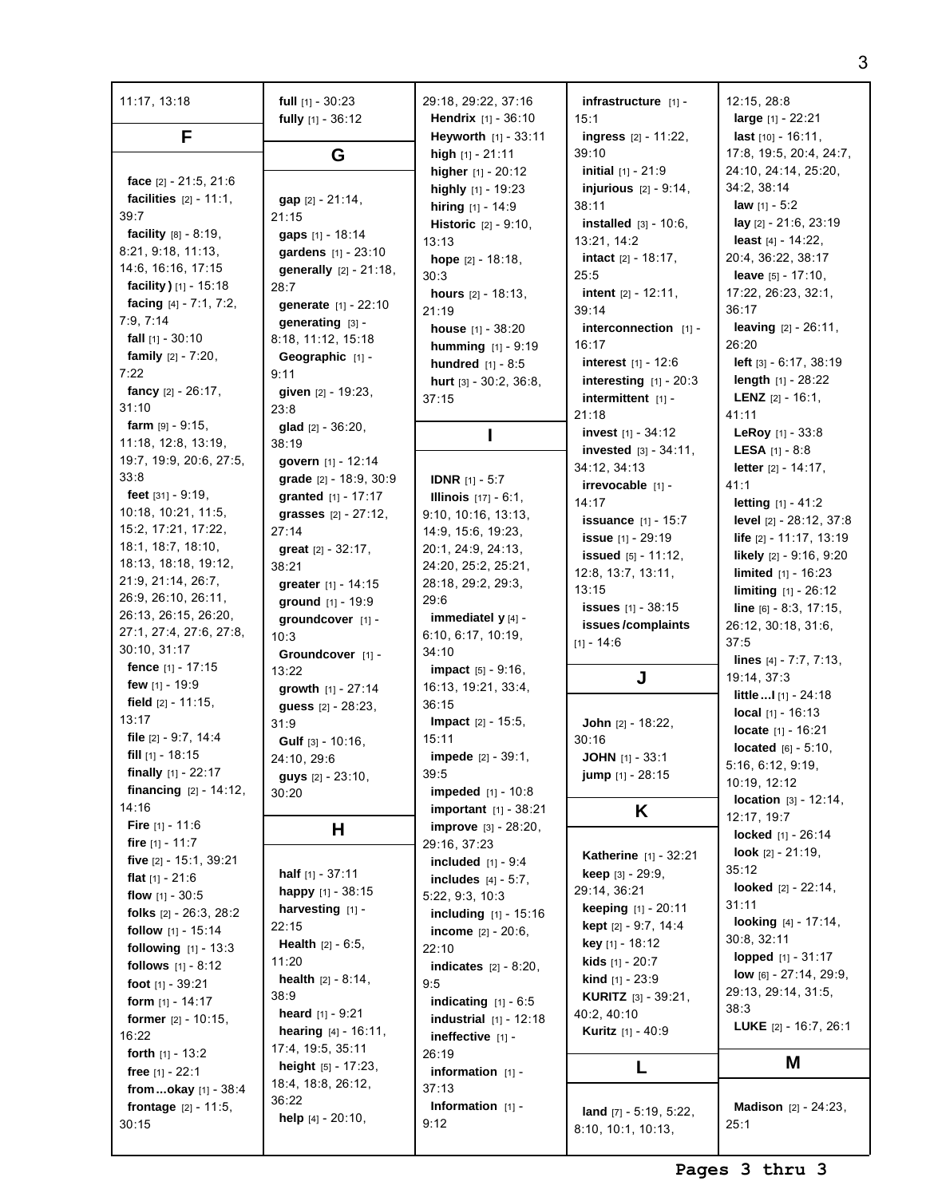| 11:17, 13:18                              | full $[1] - 30:23$             | 29:18, 29:22, 37:16                                           | infrastructure [1] -            | 12:15, 28:8                                         |
|-------------------------------------------|--------------------------------|---------------------------------------------------------------|---------------------------------|-----------------------------------------------------|
| F                                         | fully $[1] - 36:12$            | <b>Hendrix</b> $[1] - 36:10$<br><b>Heyworth</b> $[1] - 33:11$ | 15:1<br>ingress [2] - 11:22,    | large $[1] - 22:21$<br><b>last</b> $[10] - 16:11$ , |
|                                           | G                              | high $[1] - 21:11$                                            | 39:10                           | 17:8, 19:5, 20:4, 24:7,                             |
|                                           |                                | higher $[1] - 20:12$                                          | <b>initial</b> $[1] - 21:9$     | 24:10, 24:14, 25:20,                                |
| face $[2] - 21:5, 21:6$                   |                                | highly $[1]$ - 19:23                                          | <b>injurious</b> $[2] - 9:14$ , | 34:2, 38:14                                         |
| <b>facilities</b> $[2] - 11:1$ ,          | gap [2] - 21:14,               | hiring [1] - 14:9                                             | 38:11                           | <b>law</b> $[1] - 5:2$                              |
| 39:7                                      | 21:15                          | <b>Historic</b> [2] - 9:10,                                   | <b>installed</b> $[3] - 10:6$ , | lay [2] - 21:6, 23:19                               |
| facility $[8] - 8:19$ ,                   | gaps [1] - 18:14               | 13:13                                                         | 13:21, 14:2                     | least $[4] - 14:22$ ,                               |
| 8:21, 9:18, 11:13,                        | gardens [1] - 23:10            | hope [2] - 18:18,                                             | <b>intact</b> $[2] - 18:17$ ,   | 20:4, 36:22, 38:17                                  |
| 14:6, 16:16, 17:15                        | generally [2] - 21:18,         | 30:3                                                          | 25:5                            | leave $[5] - 17:10$ ,                               |
| facility ) [1] - 15:18                    | 28:7                           | hours [2] - 18:13,                                            | <b>intent</b> $[2] - 12:11$ ,   | 17:22, 26:23, 32:1,                                 |
| facing $[4] - 7:1, 7:2,$                  | generate [1] - 22:10           | 21:19                                                         | 39:14                           | 36:17                                               |
| 7:9, 7:14                                 | generating [3] -               | house [1] - 38:20                                             | interconnection [1] -           | <b>leaving</b> $[2] - 26:11$ ,                      |
| fall [1] - 30:10                          | 8:18, 11:12, 15:18             | humming [1] - 9:19                                            | 16:17                           | 26:20                                               |
| family [2] - 7:20,                        | Geographic [1] -               | <b>hundred</b> $[1] - 8:5$                                    | interest [1] - 12:6             | left $[3] - 6:17$ , $38:19$                         |
| 7:22                                      | 9:11                           | hurt [3] - 30:2, 36:8,                                        | interesting $[1] - 20:3$        | length $[1] - 28:22$                                |
| fancy $[2] - 26:17$ ,                     | given $[2] - 19:23$ ,          | 37:15                                                         | intermittent $[1]$ -            | <b>LENZ</b> $[2] - 16:1$                            |
| 31:10                                     | 23:8                           |                                                               | 21:18                           | 41:11                                               |
| farm $[9] - 9:15$ ,                       | <b>glad</b> $[2] - 36:20$ ,    |                                                               | invest [1] - 34:12              | <b>LeRoy</b> $[1] - 33:8$                           |
| 11:18, 12:8, 13:19,                       | 38:19                          |                                                               | invested [3] - 34:11,           | <b>LESA</b> $[1] - 8:8$                             |
| 19:7, 19:9, 20:6, 27:5,                   | govern [1] - 12:14             |                                                               | 34:12, 34:13                    | <b>letter</b> $[2] - 14:17$ ,                       |
| 33:8                                      | grade [2] - 18:9, 30:9         | <b>IDNR</b> $[1] - 5:7$                                       | irrevocable [1] -               | 41:1                                                |
| feet $[31] - 9:19$ ,                      | granted [1] - 17:17            | <b>Illinois</b> $[17] - 6:1$ ,                                | 14:17                           | <b>letting</b> $[1] - 41:2$                         |
| 10:18, 10:21, 11:5,                       | grasses [2] - 27:12,           | 9:10, 10:16, 13:13,                                           | <b>issuance</b> $[1] - 15:7$    | level [2] - 28:12, 37:8                             |
| 15:2, 17:21, 17:22,                       | 27:14                          | 14:9, 15:6, 19:23,                                            | issue [1] - 29:19               | life $[2] - 11:17, 13:19$                           |
| 18:1, 18:7, 18:10,                        | great [2] - 32:17,             | 20:1, 24:9, 24:13,                                            | <b>issued</b> $[5] - 11:12$ ,   | likely [2] - 9:16, 9:20                             |
| 18:13, 18:18, 19:12,                      | 38:21                          | 24:20, 25:2, 25:21,                                           | 12:8, 13:7, 13:11,              | <b>limited</b> $[1] - 16:23$                        |
| 21:9, 21:14, 26:7,<br>26:9, 26:10, 26:11, | greater [1] - 14:15            | 28:18, 29:2, 29:3,                                            | 13:15                           | <b>limiting</b> $[1] - 26:12$                       |
| 26:13, 26:15, 26:20,                      | ground [1] - 19:9              | 29:6                                                          | <b>issues</b> $[1] - 38:15$     | line $[6] - 8:3, 17:15,$                            |
| 27:1, 27:4, 27:6, 27:8,                   | groundcover [1] -              | immediatel y [4] -                                            | issues/complaints               | 26:12, 30:18, 31:6,                                 |
| 30:10, 31:17                              | 10:3                           | 6:10, 6:17, 10:19,                                            | $[1] - 14:6$                    | 37:5                                                |
| fence [1] - 17:15                         | Groundcover [1] -              | 34:10                                                         |                                 | lines $[4] - 7:7, 7:13,$                            |
| few [1] - 19:9                            | 13:22                          | <b>impact</b> $[5] - 9:16$ ,                                  | J                               | 19:14, 37:3                                         |
| field $[2] - 11:15$ ,                     | growth $[1] - 27:14$           | 16:13, 19:21, 33:4,<br>36:15                                  |                                 | little  I [1] - 24:18                               |
| 13:17                                     | guess [2] - 28:23,             | <b>Impact</b> $[2] - 15:5$ ,                                  | John [2] - 18:22,               | local $[1] - 16:13$                                 |
| file [2] - 9:7, 14:4                      | 31:9<br>Gulf [3] - 10:16,      | 15:11                                                         | 30:16                           | locate [1] - 16:21                                  |
| fill $[1]$ - 18:15                        | 24:10, 29:6                    | impede [2] - 39:1,                                            | JOHN [1] - 33:1                 | located $[6] - 5:10$ ,                              |
| finally $[1] - 22:17$                     | <b>guys</b> $[2] - 23:10$ ,    | 39:5                                                          | jump [1] - 28:15                | 5:16, 6:12, 9:19,                                   |
| <b>financing</b> $[2] - 14:12$ ,          | 30:20                          | <b>impeded</b> $[1] - 10:8$                                   |                                 | 10:19, 12:12                                        |
| 14:16                                     |                                | <b>important</b> $[1] - 38:21$                                | Κ                               | <b>location</b> $[3] - 12:14$ ,                     |
| Fire [1] - 11:6                           | н                              | improve [3] - 28:20,                                          |                                 | 12:17, 19:7                                         |
| fire $[1] - 11:7$                         |                                | 29:16, 37:23                                                  |                                 | locked [1] - 26:14                                  |
| five [2] - 15:1, 39:21                    |                                | <b>included</b> $[1] - 9:4$                                   | Katherine [1] - 32:21           | <b>look</b> $[2] - 21:19$ ,                         |
| <b>flat</b> $[1] - 21:6$                  | <b>half</b> $[1] - 37:11$      | includes $[4] - 5:7$ ,                                        | <b>keep</b> $[3] - 29:9$        | 35:12                                               |
| flow $[1] - 30:5$                         | happy $[1] - 38:15$            | 5:22, 9:3, 10:3                                               | 29:14, 36:21                    | <b>looked</b> $[2] - 22:14$ ,                       |
| folks [2] - 26:3, 28:2                    | harvesting [1] -               | <b>including</b> $[1] - 15:16$                                | keeping [1] - 20:11             | 31:11                                               |
| follow $[1] - 15:14$                      | 22:15                          | <b>income</b> $[2] - 20:6$ ,                                  | <b>kept</b> $[2] - 9:7, 14:4$   | looking [4] - 17:14,                                |
| <b>following</b> $[1] - 13:3$             | <b>Health</b> $[2] - 6:5$ ,    | 22:10                                                         | <b>key</b> [1] - 18:12          | 30:8, 32:11                                         |
| follows [1] - 8:12                        | 11:20                          | <b>indicates</b> $[2] - 8:20$ ,                               | kids [1] - 20:7                 | <b>lopped</b> $[1] - 31:17$                         |
| foot $[1] - 39:21$                        | <b>health</b> $[2] - 8:14$ ,   | 9:5                                                           | kind [1] - 23:9                 | <b>low</b> $[6] - 27:14$ , $29:9$ ,                 |
| form $[1] - 14:17$                        | 38:9                           | indicating $[1] - 6:5$                                        | <b>KURITZ</b> [3] - 39:21,      | 29:13, 29:14, 31:5,                                 |
| <b>former</b> $[2] - 10:15$ ,             | <b>heard</b> $[1] - 9:21$      | <b>industrial</b> $[1] - 12:18$                               | 40:2, 40:10                     | 38:3                                                |
| 16:22                                     | <b>hearing</b> $[4] - 16:11$ , | ineffective $[1]$ -                                           | <b>Kuritz</b> [1] - 40:9        | <b>LUKE</b> $[2] - 16:7, 26:1$                      |
| forth $[1] - 13:2$                        | 17:4, 19:5, 35:11              | 26:19                                                         |                                 |                                                     |
| free $[1] - 22:1$                         | <b>height</b> $[5] - 17:23$ ,  | information $[1]$ -                                           | L                               | Μ                                                   |
| from  okay $[1] - 38:4$                   | 18:4, 18:8, 26:12,             | 37:13                                                         |                                 |                                                     |
| <b>frontage</b> $[2] - 11:5$ ,            | 36:22                          | Information $[1]$ -                                           | land [7] - 5:19, 5:22,          | <b>Madison</b> $[2] - 24:23$                        |
| 30:15                                     | <b>help</b> $[4] - 20:10$ ,    | 9:12                                                          | 8:10, 10:1, 10:13,              | 25:1                                                |
|                                           |                                |                                                               |                                 |                                                     |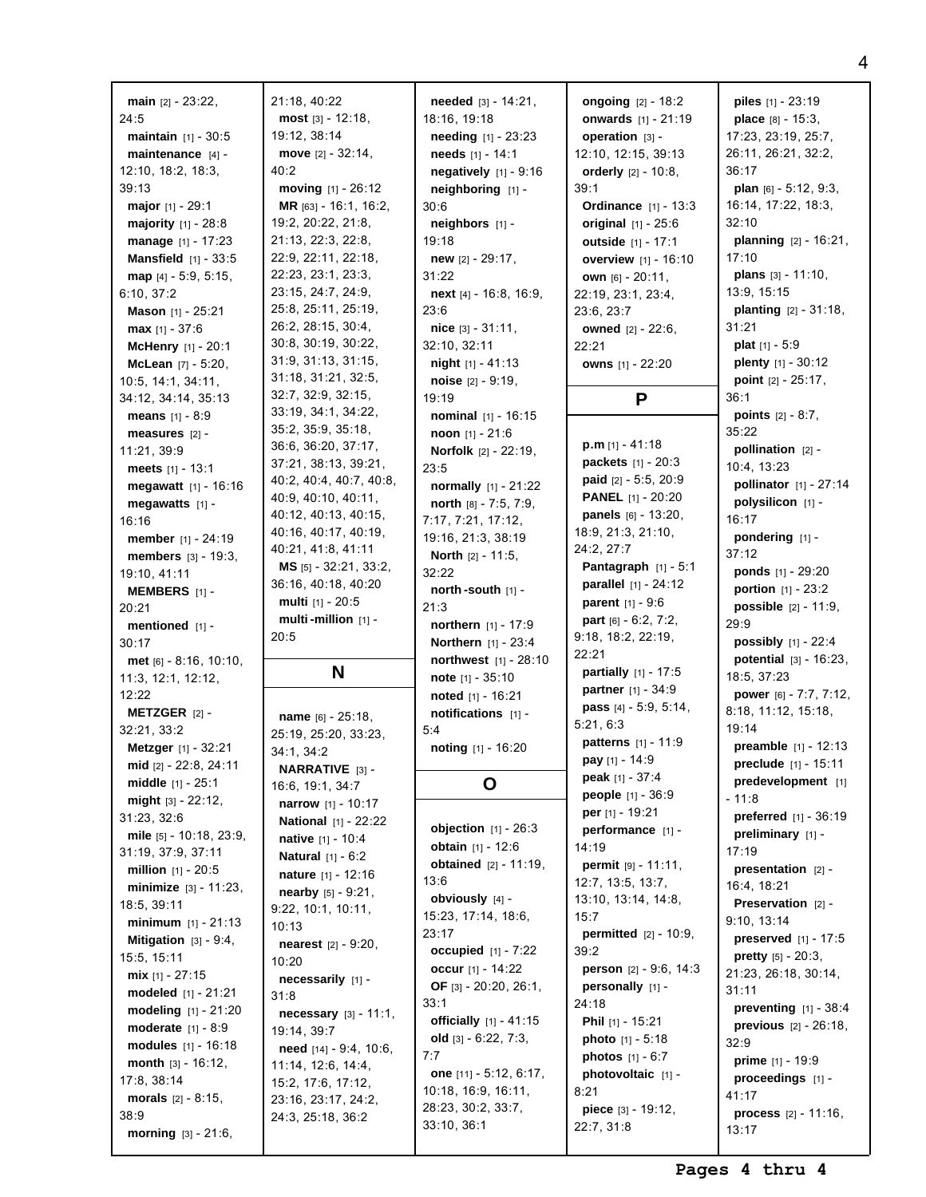| main $[2] - 23:22$ ,                             | 21:18, 40:22                              | needed [3] - 14:21,                           | ongoing $[2] - 18:2$                  | <b>piles</b> $[1] - 23:19$                 |
|--------------------------------------------------|-------------------------------------------|-----------------------------------------------|---------------------------------------|--------------------------------------------|
| 24:5                                             | $most$ [3] - 12:18,                       | 18:16, 19:18                                  | <b>onwards</b> [1] - 21:19            | <b>place</b> $[8] - 15:3$ ,                |
| <b>maintain</b> $[1] - 30:5$                     | 19:12, 38:14                              | <b>needing</b> $[1] - 23:23$                  | operation [3] -                       | 17:23, 23:19, 25:7,                        |
| maintenance $[4]$ -                              | move $[2] - 32:14$ ,                      | needs $[1] - 14:1$                            | 12:10, 12:15, 39:13                   | 26:11, 26:21, 32:2,                        |
| 12:10, 18:2, 18:3,                               | 40:2                                      | negatively $[1]$ - 9:16                       | orderly $[2] - 10.8$ ,                | 36:17                                      |
| 39:13                                            | moving $[1] - 26:12$                      | $neighbouring$ [1] -                          | 39:1                                  | <b>plan</b> $[6] - 5:12, 9:3,$             |
| <b>major</b> $[1] - 29:1$                        | MR $[63] - 16:1, 16:2,$                   | 30:6                                          | <b>Ordinance</b> $[1] - 13:3$         | 16:14, 17:22, 18:3,                        |
| <b>majority</b> $[1] - 28:8$                     | 19:2, 20:22, 21:8,                        | neighbors [1] -                               | original $[1] - 25:6$                 | 32:10                                      |
| manage $[1] - 17:23$                             | 21:13, 22:3, 22:8,                        | 19:18                                         | outside [1] - 17:1                    | <b>planning</b> $[2] - 16:21$ ,            |
| <b>Mansfield</b> $[1] - 33:5$                    | 22:9, 22:11, 22:18,                       | new $[2] - 29:17$ ,                           | overview [1] - 16:10                  | 17:10                                      |
| map $[4] - 5:9, 5:15,$                           | 22:23, 23:1, 23:3,                        | 31:22                                         | <b>own</b> $[6] - 20:11$ ,            | plans [3] - 11:10,                         |
| 6:10, 37:2                                       | 23:15, 24:7, 24:9,                        | <b>next</b> [4] - 16:8, 16:9,                 | 22:19, 23:1, 23:4,                    | 13:9, 15:15                                |
| <b>Mason</b> $[1]$ - 25:21                       | 25:8, 25:11, 25:19,                       | 23:6                                          | 23:6, 23:7                            | <b>planting</b> $[2] - 31:18$ ,            |
| <b>max</b> $[1] - 37:6$                          | 26:2, 28:15, 30:4,                        | nice $[3] - 31:11$ ,                          | owned [2] - 22:6,                     | 31:21                                      |
| <b>McHenry</b> $[1] - 20:1$                      | 30:8, 30:19, 30:22,                       | 32:10, 32:11                                  | 22:21                                 | <b>plat</b> $[1] - 5:9$                    |
| <b>McLean</b> $[7] - 5:20$ ,                     | 31:9, 31:13, 31:15,                       | <b>night</b> $[1] - 41:13$                    | owns [1] - 22:20                      | plenty [1] - 30:12                         |
| 10:5, 14:1, 34:11,                               | 31:18, 31:21, 32:5,<br>32:7, 32:9, 32:15, | noise [2] - 9:19,                             |                                       | <b>point</b> $[2] - 25:17$ ,               |
| 34:12, 34:14, 35:13                              | 33:19, 34:1, 34:22,                       | 19:19                                         | P                                     | 36:1                                       |
| <b>means</b> $[1] - 8:9$                         | 35:2, 35:9, 35:18,                        | nominal [1] - 16:15                           |                                       | <b>points</b> $[2] - 8:7$ ,<br>35:22       |
| measures [2] -                                   | 36:6, 36:20, 37:17,                       | noon [1] - 21:6                               | $p.m$ [1] - 41:18                     | pollination $[2]$ -                        |
| 11:21, 39:9                                      | 37:21, 38:13, 39:21,                      | <b>Norfolk</b> $[2] - 22:19$ ,                | <b>packets</b> $[1] - 20:3$           | 10:4, 13:23                                |
| meets $[1] - 13:1$<br>megawatt $[1] - 16:16$     | 40:2, 40:4, 40:7, 40:8,                   | 23:5                                          | <b>paid</b> $[2] - 5:5, 20:9$         | pollinator [1] - 27:14                     |
|                                                  | 40:9, 40:10, 40:11,                       | normally [1] - 21:22<br>north [8] - 7:5, 7:9, | <b>PANEL</b> [1] - 20:20              | polysilicon [1] -                          |
| megawatts $[1]$ -<br>16:16                       | 40:12, 40:13, 40:15,                      | 7:17, 7:21, 17:12,                            | panels [6] - 13:20,                   | 16:17                                      |
| member [1] - 24:19                               | 40:16, 40:17, 40:19,                      | 19:16, 21:3, 38:19                            | 18:9, 21:3, 21:10,                    | pondering [1] -                            |
| <b>members</b> $[3] - 19:3$ ,                    | 40:21, 41:8, 41:11                        | <b>North</b> $[2] - 11:5$ ,                   | 24:2, 27:7                            | 37:12                                      |
| 19:10, 41:11                                     | <b>MS</b> $[5] - 32:21, 33:2,$            | 32:22                                         | <b>Pantagraph</b> $[1] - 5:1$         | <b>ponds</b> $[1] - 29:20$                 |
| <b>MEMBERS</b> $[1]$ -                           | 36:16, 40:18, 40:20                       | north -south $[1]$ -                          | <b>parallel</b> $[1] - 24:12$         | <b>portion</b> $[1] - 23:2$                |
| 20:21                                            | multi [1] - 20:5                          | 21:3                                          | parent [1] - 9:6                      | <b>possible</b> $[2] - 11:9$ ,             |
| <b>mentioned</b> $[1]$ -                         | multi-million [1] -                       | <b>northern</b> $[1] - 17:9$                  | <b>part</b> $[6] - 6:2, 7:2,$         | 29:9                                       |
| 30:17                                            | 20:5                                      | <b>Northern</b> $[1] - 23:4$                  | 9:18, 18:2, 22:19,                    | <b>possibly</b> $[1] - 22:4$               |
| $met$ [6] - 8:16, 10:10,                         |                                           | <b>northwest</b> $[1] - 28:10$                | 22:21                                 | <b>potential</b> $[3] - 16:23$ ,           |
| 11:3, 12:1, 12:12,                               | N                                         | note $[1] - 35:10$                            | partially [1] - 17:5                  | 18:5, 37:23                                |
| 12:22                                            |                                           | noted [1] - 16:21                             | partner [1] - 34:9                    | power [6] - 7:7, 7:12,                     |
| <b>METZGER</b> $[2]$ -                           | name [6] - 25:18,                         | notifications [1] -                           | pass [4] - 5:9, 5:14,<br>5:21, 6:3    | 8:18, 11:12, 15:18,                        |
| 32:21, 33:2                                      | 25:19, 25:20, 33:23,                      | 5:4                                           |                                       | 19:14                                      |
| Metzger [1] - 32:21                              | 34:1, 34:2                                | noting [1] - 16:20                            | patterns [1] - 11:9<br>pay [1] - 14:9 | <b>preamble</b> $[1] - 12:13$              |
| mid $[2] - 22:8, 24:11$                          | <b>NARRATIVE</b> [3] -                    |                                               | <b>peak</b> $[1] - 37:4$              | preclude [1] - 15:11                       |
| <b>middle</b> $[1] - 25:1$                       | 16:6, 19:1, 34:7                          | O                                             | people [1] - 36:9                     | predevelopment [1]                         |
| might $[3] - 22:12$ ,                            | narrow [1] - 10:17                        |                                               | <b>per</b> $[1] - 19:21$              | $-11:8$                                    |
| 31:23, 32:6                                      | <b>National</b> [1] - 22:22               | <b>objection</b> $[1] - 26:3$                 | performance [1] -                     | preferred [1] - 36:19<br>preliminary [1] - |
| mile $[5] - 10:18$ , 23:9,<br>31:19, 37:9, 37:11 | <b>native</b> $[1] - 10:4$                | obtain [1] - 12:6                             | 14:19                                 | 17:19                                      |
| <b>million</b> $[1] - 20:5$                      | <b>Natural</b> $[1] - 6:2$                | <b>obtained</b> $[2] - 11:19$ ,               | <b>permit</b> $[9] - 11:11$ ,         | presentation $[2]$ -                       |
| minimize [3] - 11:23,                            | <b>nature</b> $[1] - 12:16$               | 13:6                                          | 12:7, 13:5, 13:7,                     | 16:4, 18:21                                |
| 18:5, 39:11                                      | nearby [5] - 9:21,                        | obviously [4] -                               | 13:10, 13:14, 14:8,                   | <b>Preservation</b> $[2]$ -                |
| <b>minimum</b> $[1] - 21:13$                     | 9:22, 10:1, 10:11,                        | 15:23, 17:14, 18:6,                           | 15:7                                  | 9:10, 13:14                                |
| <b>Mitigation</b> $[3] - 9:4$ ,                  | 10:13                                     | 23:17                                         | <b>permitted</b> $[2] - 10:9$ ,       | <b>preserved</b> $[1] - 17:5$              |
| 15:5, 15:11                                      | <b>nearest</b> $[2] - 9:20$ ,<br>10:20    | occupied $[1] - 7:22$                         | 39:2                                  | <b>pretty</b> $[5] - 20:3$ ,               |
| mix $[1] - 27:15$                                | necessarily [1] -                         | occur $[1] - 14:22$                           | person [2] - 9:6, 14:3                | 21:23, 26:18, 30:14,                       |
| modeled $[1] - 21:21$                            | 31:8                                      | <b>OF</b> [3] - $20:20$ , $26:1$ ,            | personally [1] -                      | 31:11                                      |
| modeling [1] - 21:20                             | <b>necessary</b> $[3] - 11:1,$            | 33:1                                          | 24:18                                 | preventing $[1] - 38:4$                    |
| <b>moderate</b> $[1] - 8:9$                      | 19:14, 39:7                               | officially [1] - 41:15                        | <b>Phil</b> $[1]$ - 15:21             | <b>previous</b> $[2] - 26:18$ ,            |
| modules [1] - 16:18                              | <b>need</b> $[14] - 9:4$ , 10:6,          | old $[3] - 6:22, 7:3,$                        | <b>photo</b> $[1] - 5:18$             | 32:9                                       |
| <b>month</b> $[3] - 16:12$ ,                     |                                           | 7:7                                           | <b>photos</b> $[1] - 6:7$             | prime [1] - 19:9                           |
|                                                  |                                           |                                               |                                       |                                            |
| 17:8, 38:14                                      | 11:14, 12:6, 14:4,<br>15:2, 17:6, 17:12,  | one [11] - 5:12, 6:17,                        | photovoltaic [1] -                    | proceedings [1] -                          |
| morals $[2] - 8:15$ ,                            | 23:16, 23:17, 24:2,                       | 10:18, 16:9, 16:11,                           | 8:21                                  | 41:17                                      |
| 38:9                                             | 24:3, 25:18, 36:2                         | 28:23, 30:2, 33:7,<br>33:10, 36:1             | piece [3] - 19:12,<br>22:7, 31:8      | <b>process</b> $[2] - 11:16$ ,<br>13:17    |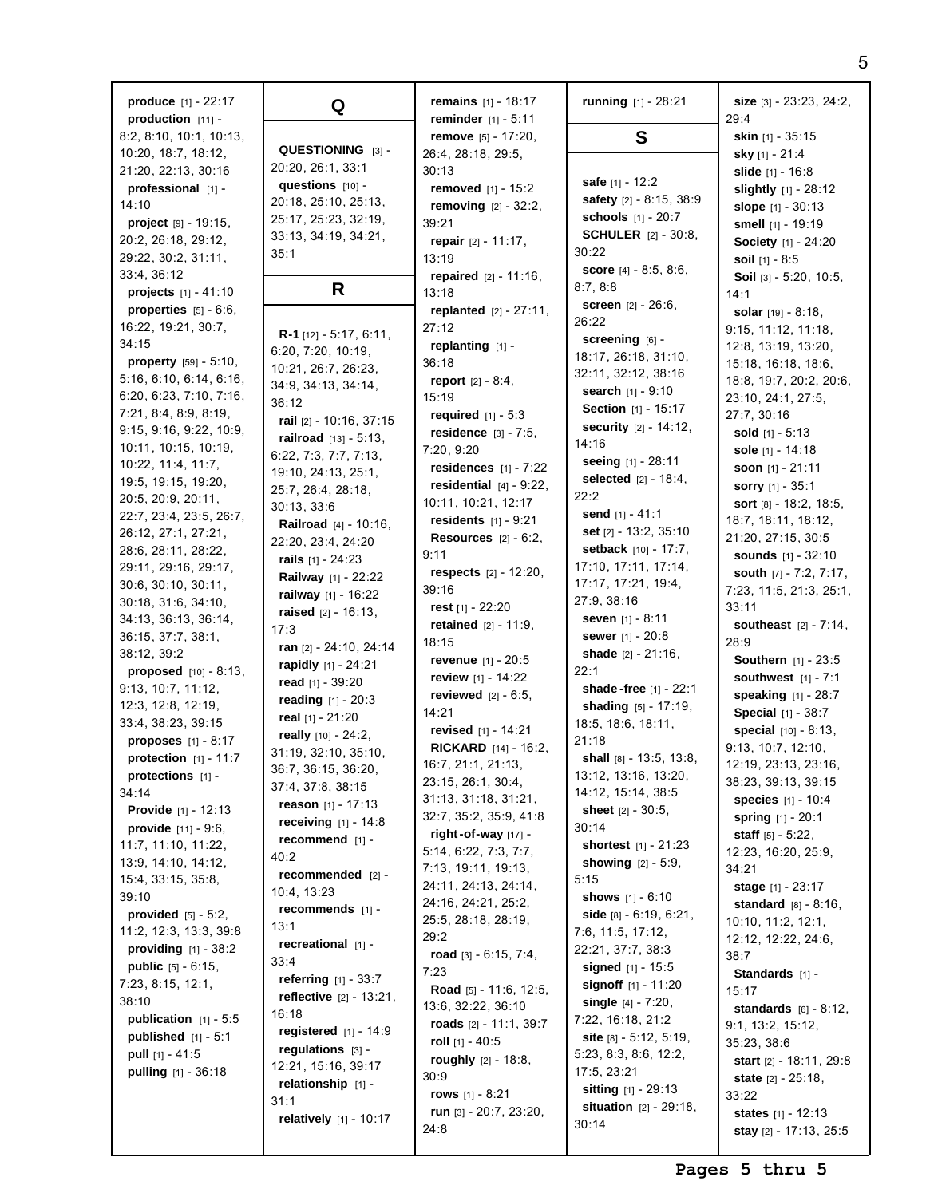**produce** [1] - 22:17 **production** [11] - 8:2, 8:10, 10:1, 10:13, 10:20, 18:7, 18:12, 21:20, 22:13, 30:16 **professional** [1] - 14:10 **project** [9] - 19:15, 20:2, 26:18, 29:12, 29:22, 30:2, 31:11, 33:4, 36:12 **projects** [1] - 41:10 **properties** [5] - 6:6, 16:22, 19:21, 30:7, 34:15 **property** [59] - 5:10, 5:16, 6:10, 6:14, 6:16, 6:20, 6:23, 7:10, 7:16, 7:21, 8:4, 8:9, 8:19, 9:15, 9:16, 9:22, 10:9, 10:11, 10:15, 10:19, 10:22, 11:4, 11:7, 19:5, 19:15, 19:20, 20:5, 20:9, 20:11, 22:7, 23:4, 23:5, 26:7, 26:12, 27:1, 27:21, 28:6, 28:11, 28:22, 29:11, 29:16, 29:17, 30:6, 30:10, 30:11, 30:18, 31:6, 34:10, 34:13, 36:13, 36:14, 36:15, 37:7, 38:1, 38:12, 39:2 **proposed** [10] - 8:13, 9:13, 10:7, 11:12, 12:3, 12:8, 12:19, 33:4, 38:23, 39:15 **proposes** [1] - 8:17 **protection** [1] - 11:7 **protections** [1] - 34:14 **Provide** [1] - 12:13 **provide** [11] - 9:6, 11:7, 11:10, 11:22, 13:9, 14:10, 14:12, 15:4, 33:15, 35:8, 39:10 **provided** [5] - 5:2, 11:2, 12:3, 13:3, 39:8 **providing** [1] - 38:2 **public** [5] - 6:15, 7:23, 8:15, 12:1, 38:10 **publication** [1] - 5:5 **published** [1] - 5:1 **pull** [1] - 41:5 **pulling** [1] - 36:18 35:1 36:12 30:13, 33:6 17:3 40:2 10:4, 13:23 13:1 33:4 16:18 31:1

**Q QUESTIONING** [3] - 20:20, 26:1, 33:1 **questions** [10] - 20:18, 25:10, 25:13, 25:17, 25:23, 32:19, 33:13, 34:19, 34:21, **R R-1** [12] - 5:17, 6:11, 6:20, 7:20, 10:19, 10:21, 26:7, 26:23, 34:9, 34:13, 34:14, **rail** [2] - 10:16, 37:15 **railroad** [13] - 5:13, 6:22, 7:3, 7:7, 7:13, 19:10, 24:13, 25:1, 25:7, 26:4, 28:18, **Railroad** [4] - 10:16, 22:20, 23:4, 24:20 **rails** [1] - 24:23 **Railway** [1] - 22:22 **railway** [1] - 16:22 **raised** [2] - 16:13, **ran** [2] - 24:10, 24:14 **rapidly** [1] - 24:21 **read** [1] - 39:20 **reading** [1] - 20:3 **real** [1] - 21:20 **really** [10] - 24:2, 31:19, 32:10, 35:10, 36:7, 36:15, 36:20, 37:4, 37:8, 38:15 **reason** [1] - 17:13 **receiving** [1] - 14:8 **recommend** [1] **recommended** [2] **recommends** [1] **recreational** [1] **referring** [1] - 33:7 **reflective** [2] - 13:21, **registered** [1] - 14:9 **regulations** [3] - 12:21, 15:16, 39:17 **relationship** [1] **relatively** [1] - 10:17 **remains** [1] - 18:17 **reminder** [1] - 5:11 **remove** [5] - 17:20, 26:4, 28:18, 29:5, 30:13 **removed** [1] - 15:2 **removing** [2] - 32:2, 39:21 **repair** [2] - 11:17, 13:19 **repaired** [2] - 11:16, 13:18 **replanted** [2] - 27:11, 27:12 **replanting** [1] - 36:18 **report** [2] - 8:4, 15:19 **required** [1] - 5:3 **residence** [3] - 7:5, 7:20, 9:20 **residences** [1] - 7:22 **residential** [4] - 9:22, 10:11, 10:21, 12:17 **residents** [1] - 9:21 **Resources** [2] - 6:2, 9:11 **respects** [2] - 12:20, 39:16 **rest** [1] - 22:20 **retained** [2] - 11:9, 18:15 **revenue** [1] - 20:5 **review** [1] - 14:22 **reviewed** [2] - 6:5, 14:21 **revised** [1] - 14:21 **RICKARD** [14] - 16:2, 16:7, 21:1, 21:13, 23:15, 26:1, 30:4, 31:13, 31:18, 31:21, 32:7, 35:2, 35:9, 41:8 **right-of-way** [17] - 5:14, 6:22, 7:3, 7:7, 7:13, 19:11, 19:13, 24:11, 24:13, 24:14, 24:16, 24:21, 25:2, 25:5, 28:18, 28:19, 29:2 **road** [3] - 6:15, 7:4, 7:23 **Road** [5] - 11:6, 12:5, 13:6, 32:22, 36:10 **roads** [2] - 11:1, 39:7 **roll** [1] - 40:5 **roughly** [2] - 18:8, 30:9 **rows** [1] - 8:21 **run** [3] - 20:7, 23:20, 24:8

**running** [1] - 28:21 **S safe** [1] - 12:2 **safety** [2] - 8:15, 38:9 **schools** [1] - 20:7 **SCHULER** [2] - 30:8, 30:22 **score** [4] - 8:5, 8:6, 8:7, 8:8 **screen** [2] - 26:6, 26:22 **screening** [6] - 18:17, 26:18, 31:10, 32:11, 32:12, 38:16 **search** [1] - 9:10 **Section** [1] - 15:17 **security** [2] - 14:12, 14:16 **seeing** [1] - 28:11 **selected** [2] - 18:4, 22:2 **send** [1] - 41:1 **set** [2] - 13:2, 35:10 **setback** [10] - 17:7, 17:10, 17:11, 17:14, 17:17, 17:21, 19:4, 27:9, 38:16 **seven** [1] - 8:11 **sewer** [1] - 20:8 **shade** [2] - 21:16, 22:1 **shade -free** [1] - 22:1 **shading** [5] - 17:19, 18:5, 18:6, 18:11, 21:18 **shall** [8] - 13:5, 13:8, 13:12, 13:16, 13:20, 14:12, 15:14, 38:5 **sheet** [2] - 30:5, 30:14 **shortest** [1] - 21:23 **showing** [2] - 5:9, 5:15 **shows** [1] - 6:10 **side** [8] - 6:19, 6:21, 7:6, 11:5, 17:12, 22:21, 37:7, 38:3 **signed** [1] - 15:5 **signoff** [1] - 11:20 **single** [4] - 7:20, 7:22, 16:18, 21:2 **site** [8] - 5:12, 5:19, 5:23, 8:3, 8:6, 12:2, 17:5, 23:21 **sitting** [1] - 29:13 **situation** [2] - 29:18, 30:14

**size** [3] - 23:23, 24:2,  $29.4$ **skin** [1] - 35:15 **sky** [1] - 21:4 **slide** [1] - 16:8 **slightly** [1] - 28:12 **slope** [1] - 30:13 **smell** [1] - 19:19 **Society** [1] - 24:20 **soil** [1] - 8:5 **Soil** [3] - 5:20, 10:5, 14:1 **solar** [19] - 8:18, 9:15, 11:12, 11:18, 12:8, 13:19, 13:20, 15:18, 16:18, 18:6, 18:8, 19:7, 20:2, 20:6, 23:10, 24:1, 27:5, 27:7, 30:16 **sold** [1] - 5:13 **sole** [1] - 14:18 **soon** [1] - 21:11 **sorry** [1] - 35:1 **sort** [8] - 18:2, 18:5, 18:7, 18:11, 18:12, 21:20, 27:15, 30:5 **sounds** [1] - 32:10 **south** [7] - 7:2, 7:17, 7:23, 11:5, 21:3, 25:1, 33:11 **southeast** [2] - 7:14, 28:9 **Southern** [1] - 23:5 **southwest** [1] - 7:1 **speaking** [1] - 28:7 **Special** [1] - 38:7 **special** [10] - 8:13, 9:13, 10:7, 12:10, 12:19, 23:13, 23:16, 38:23, 39:13, 39:15 **species** [1] - 10:4 **spring** [1] - 20:1 **staff** [5] - 5:22, 12:23, 16:20, 25:9, 34:21 **stage** [1] - 23:17 **standard** [8] - 8:16, 10:10, 11:2, 12:1, 12:12, 12:22, 24:6, 38:7 **Standards** [1] - 15:17 **standards** [6] - 8:12, 9:1, 13:2, 15:12, 35:23, 38:6 **start** [2] - 18:11, 29:8 **state** [2] - 25:18, 33:22 **states** [1] - 12:13 **stay** [2] - 17:13, 25:5